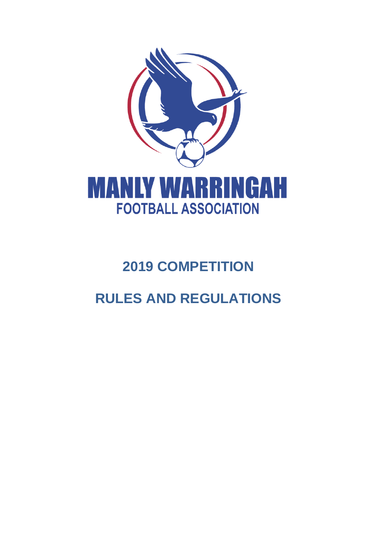

# **2019 COMPETITION**

# **RULES AND REGULATIONS**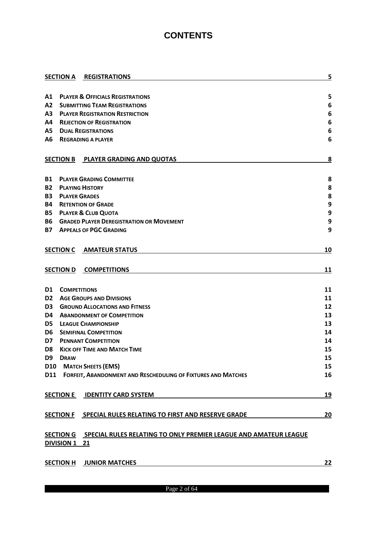## **CONTENTS**

|                |                      | <b>SECTION A REGISTRATIONS</b>                                              | 5  |
|----------------|----------------------|-----------------------------------------------------------------------------|----|
|                |                      |                                                                             |    |
| Α1             |                      | <b>PLAYER &amp; OFFICIALS REGISTRATIONS</b>                                 | 5  |
| A2             |                      | <b>SUBMITTING TEAM REGISTRATIONS</b>                                        | 6  |
| А3             |                      | <b>PLAYER REGISTRATION RESTRICTION</b>                                      | 6  |
| Α4             |                      | <b>REJECTION OF REGISTRATION</b>                                            | 6  |
| А5             |                      | <b>DUAL REGISTRATIONS</b>                                                   | 6  |
| А6             |                      | <b>REGRADING A PLAYER</b>                                                   | 6  |
|                |                      | SECTION B PLAYER GRADING AND QUOTAS                                         | 8  |
| <b>B1</b>      |                      | <b>PLAYER GRADING COMMITTEE</b>                                             | 8  |
| B2             |                      | <b>PLAYING HISTORY</b>                                                      | 8  |
| <b>B3</b>      | <b>PLAYER GRADES</b> |                                                                             | 8  |
| Β4             |                      | <b>RETENTION OF GRADE</b>                                                   | 9  |
| <b>B5</b>      |                      | <b>PLAYER &amp; CLUB QUOTA</b>                                              | 9  |
| B6             |                      | <b>GRADED PLAYER DEREGISTRATION OR MOVEMENT</b>                             | 9  |
| <b>B7</b>      |                      | <b>APPEALS OF PGC GRADING</b>                                               | 9  |
|                |                      | <b>SECTION C AMATEUR STATUS</b>                                             | 10 |
|                | <b>SECTION D</b>     | <b>COMPETITIONS</b>                                                         | 11 |
| D1             | <b>COMPETITIONS</b>  |                                                                             | 11 |
| D2             |                      | <b>AGE GROUPS AND DIVISIONS</b>                                             | 11 |
| D <sub>3</sub> |                      | <b>GROUND ALLOCATIONS AND FITNESS</b>                                       | 12 |
| D4             |                      | <b>ABANDONMENT OF COMPETITION</b>                                           | 13 |
| D5             |                      | <b>LEAGUE CHAMPIONSHIP</b>                                                  | 13 |
| D6             |                      | <b>SEMIFINAL COMPETITION</b>                                                | 14 |
| D7             |                      | <b>PENNANT COMPETITION</b>                                                  | 14 |
| D <sub>8</sub> |                      | <b>KICK OFF TIME AND MATCH TIME</b>                                         | 15 |
| D9             | <b>DRAW</b>          |                                                                             | 15 |
| <b>D10</b>     |                      | <b>MATCH SHEETS (EMS)</b>                                                   | 15 |
|                |                      | D11 FORFEIT, ABANDONMENT AND RESCHEDULING OF FIXTURES AND MATCHES           | 16 |
|                | <b>SECTION E</b>     | <b>IDENTITY CARD SYSTEM</b>                                                 | 19 |
|                |                      | SECTION F SPECIAL RULES RELATING TO FIRST AND RESERVE GRADE                 | 20 |
|                | DIVISION 1 21        | SECTION G  SPECIAL RULES RELATING TO ONLY PREMIER LEAGUE AND AMATEUR LEAGUE |    |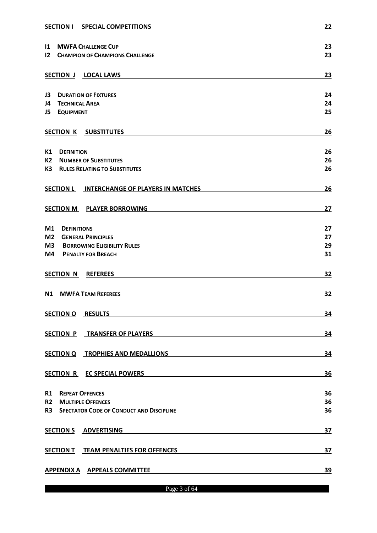|                                                      | SECTION I SPECIAL COMPETITIONS                  |           |  |  |  |
|------------------------------------------------------|-------------------------------------------------|-----------|--|--|--|
|                                                      |                                                 |           |  |  |  |
| 11 MWFA CHALLENGE CUP                                | 23<br>23                                        |           |  |  |  |
|                                                      | <b>12 CHAMPION OF CHAMPIONS CHALLENGE</b>       |           |  |  |  |
|                                                      | SECTION J LOCAL LAWS                            | 23        |  |  |  |
|                                                      |                                                 |           |  |  |  |
| J3                                                   | <b>DURATION OF FIXTURES</b>                     | 24        |  |  |  |
| J4                                                   | <b>TECHNICAL AREA</b>                           | 24        |  |  |  |
| <b>J5 EQUIPMENT</b>                                  |                                                 | 25        |  |  |  |
| <b>SECTION K</b>                                     | <b>SUBSTITUTES</b>                              | 26        |  |  |  |
| K1<br><b>DEFINITION</b>                              |                                                 | 26        |  |  |  |
| K2                                                   | <b>NUMBER OF SUBSTITUTES</b>                    | 26        |  |  |  |
| К3                                                   | <b>RULES RELATING TO SUBSTITUTES</b>            | 26        |  |  |  |
|                                                      |                                                 |           |  |  |  |
| <b>SECTION L</b>                                     | <b>INTERCHANGE OF PLAYERS IN MATCHES</b>        | 26        |  |  |  |
|                                                      | SECTION M PLAYER BORROWING                      | 27        |  |  |  |
|                                                      |                                                 |           |  |  |  |
| M1<br><b>DEFINITIONS</b>                             |                                                 | 27        |  |  |  |
| M <sub>2</sub>                                       | <b>GENERAL PRINCIPLES</b>                       | 27<br>29  |  |  |  |
| M <sub>3</sub><br><b>BORROWING ELIGIBILITY RULES</b> |                                                 |           |  |  |  |
| M4                                                   | <b>PENALTY FOR BREACH</b>                       | 31        |  |  |  |
| <b>SECTION N</b>                                     | <b>REFEREES</b>                                 | 32        |  |  |  |
|                                                      |                                                 |           |  |  |  |
| N1                                                   | <b>MWFA TEAM REFEREES</b>                       | 32        |  |  |  |
|                                                      | SECTION O RESULTS                               | 34        |  |  |  |
|                                                      |                                                 |           |  |  |  |
|                                                      | SECTION P TRANSFER OF PLAYERS                   | 34        |  |  |  |
|                                                      | SECTION Q TROPHIES AND MEDALLIONS               | 34        |  |  |  |
|                                                      |                                                 |           |  |  |  |
|                                                      | SECTION R EC SPECIAL POWERS                     | 36        |  |  |  |
| <b>R1</b>                                            | <b>REPEAT OFFENCES</b>                          | 36        |  |  |  |
| R2                                                   | <b>MULTIPLE OFFENCES</b>                        | 36        |  |  |  |
| R3                                                   | <b>SPECTATOR CODE OF CONDUCT AND DISCIPLINE</b> | 36        |  |  |  |
|                                                      | SECTION S ADVERTISING                           | 37        |  |  |  |
|                                                      | SECTION T TEAM PENALTIES FOR OFFENCES           | 37        |  |  |  |
|                                                      | APPENDIX A APPEALS COMMITTEE                    | <u>39</u> |  |  |  |
|                                                      |                                                 |           |  |  |  |

Page 3 of 64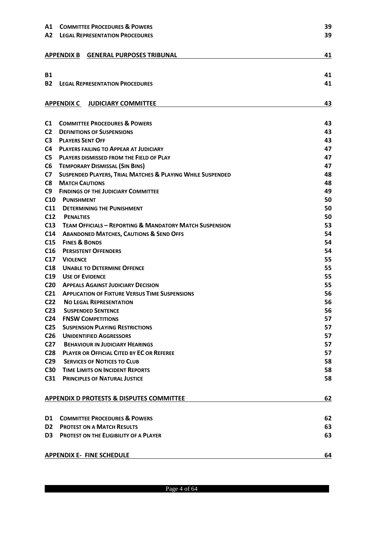| Α1              | <b>COMMITTEE PROCEDURES &amp; POWERS</b>                           |          |  |  |  |
|-----------------|--------------------------------------------------------------------|----------|--|--|--|
| A2              | <b>LEGAL REPRESENTATION PROCEDURES</b>                             |          |  |  |  |
|                 |                                                                    |          |  |  |  |
|                 | APPENDIX B GENERAL PURPOSES TRIBUNAL                               |          |  |  |  |
|                 |                                                                    | 41       |  |  |  |
|                 |                                                                    |          |  |  |  |
| <b>B1</b>       |                                                                    | 41       |  |  |  |
| <b>B2</b>       | <b>LEGAL REPRESENTATION PROCEDURES</b>                             | 41       |  |  |  |
|                 |                                                                    |          |  |  |  |
|                 | <b>APPENDIX C JUDICIARY COMMITTEE</b>                              | 43       |  |  |  |
|                 |                                                                    |          |  |  |  |
| C1              | <b>COMMITTEE PROCEDURES &amp; POWERS</b>                           | 43       |  |  |  |
| C <sub>2</sub>  | <b>DEFINITIONS OF SUSPENSIONS</b>                                  | 43       |  |  |  |
| C <sub>3</sub>  | <b>PLAYERS SENT OFF</b>                                            | 43       |  |  |  |
| C <sub>4</sub>  | <b>PLAYERS FAILING TO APPEAR AT JUDICIARY</b>                      | 47       |  |  |  |
| C <sub>5</sub>  | <b>PLAYERS DISMISSED FROM THE FIELD OF PLAY</b>                    | 47       |  |  |  |
| C <sub>6</sub>  | <b>TEMPORARY DISMISSAL (SIN BINS)</b>                              | 47       |  |  |  |
| C7              | SUSPENDED PLAYERS, TRIAL MATCHES & PLAYING WHILE SUSPENDED         | 48       |  |  |  |
| C8              | <b>MATCH CAUTIONS</b>                                              | 48       |  |  |  |
| C9              | <b>FINDINGS OF THE JUDICIARY COMMITTEE</b>                         | 49       |  |  |  |
| C10             | <b>PUNISHMENT</b>                                                  | 50       |  |  |  |
| C11             | <b>DETERMINING THE PUNISHMENT</b>                                  | 50       |  |  |  |
| C12             | <b>PENALTIES</b>                                                   | 50       |  |  |  |
| C13             | <b>TEAM OFFICIALS - REPORTING &amp; MANDATORY MATCH SUSPENSION</b> | 53       |  |  |  |
| C14             | <b>ABANDONED MATCHES, CAUTIONS &amp; SEND OFFS</b>                 | 54       |  |  |  |
| C15             | <b>FINES &amp; BONDS</b>                                           | 54       |  |  |  |
| C16             | <b>PERSISTENT OFFENDERS</b>                                        | 54       |  |  |  |
| C17             | <b>VIOLENCE</b>                                                    | 55       |  |  |  |
| C18             | <b>UNABLE TO DETERMINE OFFENCE</b>                                 | 55       |  |  |  |
| C19             | <b>USE OF EVIDENCE</b>                                             | 55       |  |  |  |
| C <sub>20</sub> | <b>APPEALS AGAINST JUDICIARY DECISION</b>                          | 55       |  |  |  |
| C <sub>21</sub> | <b>APPLICATION OF FIXTURE VERSUS TIME SUSPENSIONS</b>              | 56       |  |  |  |
| C <sub>22</sub> | <b>NO LEGAL REPRESENTATION</b>                                     | 56       |  |  |  |
| C <sub>23</sub> | <b>SUSPENDED SENTENCE</b>                                          | 56       |  |  |  |
| C <sub>24</sub> | <b>FNSW COMPETITIONS</b>                                           | 57       |  |  |  |
| C <sub>25</sub> | <b>SUSPENSION PLAYING RESTRICTIONS</b>                             | 57       |  |  |  |
| C <sub>26</sub> | <b>UNIDENTIFIED AGGRESSORS</b>                                     | 57       |  |  |  |
| C <sub>27</sub> | <b>BEHAVIOUR IN JUDICIARY HEARINGS</b>                             | 57       |  |  |  |
| C <sub>28</sub> | <b>PLAYER OR OFFICIAL CITED BY EC OR REFEREE</b>                   | 57       |  |  |  |
| C <sub>29</sub> | <b>SERVICES OF NOTICES TO CLUB</b>                                 | 58       |  |  |  |
| C30             | <b>TIME LIMITS ON INCIDENT REPORTS</b>                             | 58       |  |  |  |
| C <sub>31</sub> | <b>PRINCIPLES OF NATURAL JUSTICE</b>                               | 58       |  |  |  |
|                 |                                                                    |          |  |  |  |
|                 |                                                                    |          |  |  |  |
|                 | <b>APPENDIX D PROTESTS &amp; DISPUTES COMMITTEE</b>                | 62       |  |  |  |
|                 |                                                                    |          |  |  |  |
| D1              | <b>COMMITTEE PROCEDURES &amp; POWERS</b>                           | 62       |  |  |  |
| D <sub>2</sub>  | <b>PROTEST ON A MATCH RESULTS</b>                                  | 63<br>63 |  |  |  |
| D3              | <b>PROTEST ON THE ELIGIBILITY OF A PLAYER</b>                      |          |  |  |  |
|                 |                                                                    |          |  |  |  |
|                 | <b>APPENDIX E- FINE SCHEDULE</b>                                   | 64       |  |  |  |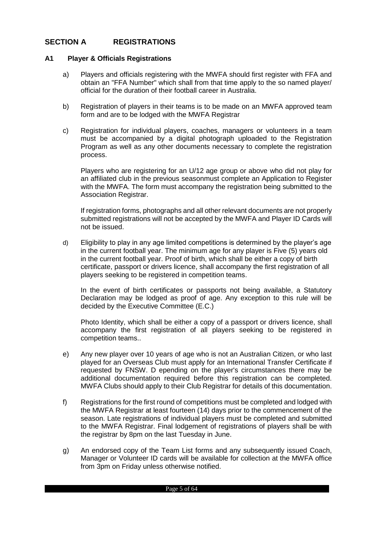## <span id="page-4-0"></span>**SECTION A REGISTRATIONS**

#### <span id="page-4-1"></span>**A1 Player & Officials Registrations**

- a) Players and officials registering with the MWFA should first register with FFA and obtain an "FFA Number" which shall from that time apply to the so named player/ official for the duration of their football career in Australia.
- b) Registration of players in their teams is to be made on an MWFA approved team form and are to be lodged with the MWFA Registrar
- c) Registration for individual players, coaches, managers or volunteers in a team must be accompanied by a digital photograph uploaded to the Registration Program as well as any other documents necessary to complete the registration process.

Players who are registering for an U/12 age group or above who did not play for an affiliated club in the previous seasonmust complete an Application to Register with the MWFA. The form must accompany the registration being submitted to the Association Registrar.

If registration forms, photographs and all other relevant documents are not properly submitted registrations will not be accepted by the MWFA and Player ID Cards will not be issued.

d) Eligibility to play in any age limited competitions is determined by the player's age in the current football year. The minimum age for any player is Five (5) years old in the current football year. Proof of birth, which shall be either a copy of birth certificate, passport or drivers licence, shall accompany the first registration of all players seeking to be registered in competition teams.

In the event of birth certificates or passports not being available, a Statutory Declaration may be lodged as proof of age. Any exception to this rule will be decided by the Executive Committee (E.C.)

Photo Identity, which shall be either a copy of a passport or drivers licence, shall accompany the first registration of all players seeking to be registered in competition teams..

- e) Any new player over 10 years of age who is not an Australian Citizen, or who last played for an Overseas Club must apply for an International Transfer Certificate if requested by FNSW. D epending on the player's circumstances there may be additional documentation required before this registration can be completed. MWFA Clubs should apply to their Club Registrar for details of this documentation.
- f) Registrations for the first round of competitions must be completed and lodged with the MWFA Registrar at least fourteen (14) days prior to the commencement of the season. Late registrations of individual players must be completed and submitted to the MWFA Registrar. Final lodgement of registrations of players shall be with the registrar by 8pm on the last Tuesday in June.
- g) An endorsed copy of the Team List forms and any subsequently issued Coach, Manager or Volunteer ID cards will be available for collection at the MWFA office from 3pm on Friday unless otherwise notified.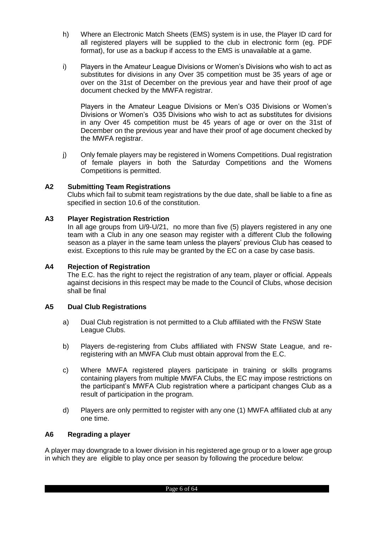- h) Where an Electronic Match Sheets (EMS) system is in use, the Player ID card for all registered players will be supplied to the club in electronic form (eg. PDF format), for use as a backup if access to the EMS is unavailable at a game.
- i) Players in the Amateur League Divisions or Women's Divisions who wish to act as substitutes for divisions in any Over 35 competition must be 35 years of age or over on the 31st of December on the previous year and have their proof of age document checked by the MWFA registrar.

Players in the Amateur League Divisions or Men's O35 Divisions or Women's Divisions or Women's O35 Divisions who wish to act as substitutes for divisions in any Over 45 competition must be 45 years of age or over on the 31st of December on the previous year and have their proof of age document checked by the MWFA registrar.

j) Only female players may be registered in Womens Competitions. Dual registration of female players in both the Saturday Competitions and the Womens Competitions is permitted.

## <span id="page-5-0"></span>**A2 Submitting Team Registrations**

Clubs which fail to submit team registrations by the due date, shall be liable to a fine as specified in section 10.6 of the constitution.

#### <span id="page-5-1"></span>**A3 Player Registration Restriction**

In all age groups from U/9-U/21, no more than five (5) players registered in any one team with a Club in any one season may register with a different Club the following season as a player in the same team unless the players' previous Club has ceased to exist. Exceptions to this rule may be granted by the EC on a case by case basis.

#### <span id="page-5-2"></span>**A4 Rejection of Registration**

The E.C. has the right to reject the registration of any team, player or official. Appeals against decisions in this respect may be made to the Council of Clubs, whose decision shall be final

#### <span id="page-5-3"></span>**A5 Dual Club Registrations**

- a) Dual Club registration is not permitted to a Club affiliated with the FNSW State League Clubs.
- b) Players de-registering from Clubs affiliated with FNSW State League, and reregistering with an MWFA Club must obtain approval from the E.C.
- c) Where MWFA registered players participate in training or skills programs containing players from multiple MWFA Clubs, the EC may impose restrictions on the participant's MWFA Club registration where a participant changes Club as a result of participation in the program.
- d) Players are only permitted to register with any one (1) MWFA affiliated club at any one time.

#### <span id="page-5-4"></span>**A6 Regrading a player**

A player may downgrade to a lower division in his registered age group or to a lower age group in which they are eligible to play once per season by following the procedure below: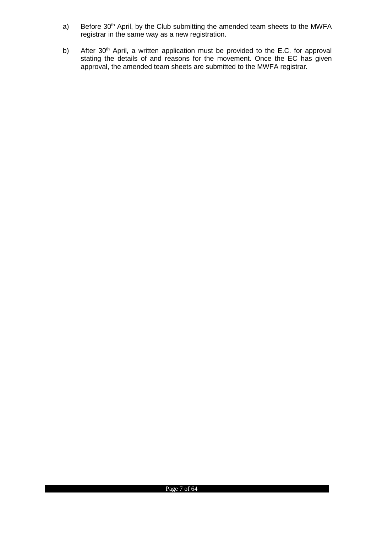- a) Before 30<sup>th</sup> April, by the Club submitting the amended team sheets to the MWFA registrar in the same way as a new registration.
- b) After 30<sup>th</sup> April, a written application must be provided to the E.C. for approval stating the details of and reasons for the movement. Once the EC has given approval, the amended team sheets are submitted to the MWFA registrar.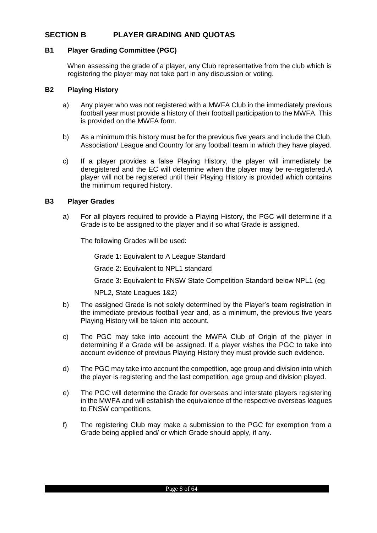## <span id="page-7-0"></span>**SECTION B PLAYER GRADING AND QUOTAS**

#### <span id="page-7-1"></span>**B1 Player Grading Committee (PGC)**

When assessing the grade of a player, any Club representative from the club which is registering the player may not take part in any discussion or voting.

#### <span id="page-7-2"></span>**B2 Playing History**

- a) Any player who was not registered with a MWFA Club in the immediately previous football year must provide a history of their football participation to the MWFA. This is provided on the MWFA form.
- b) As a minimum this history must be for the previous five years and include the Club, Association/ League and Country for any football team in which they have played.
- c) If a player provides a false Playing History, the player will immediately be deregistered and the EC will determine when the player may be re-registered.A player will not be registered until their Playing History is provided which contains the minimum required history.

#### <span id="page-7-3"></span>**B3 Player Grades**

a) For all players required to provide a Playing History, the PGC will determine if a Grade is to be assigned to the player and if so what Grade is assigned.

The following Grades will be used:

Grade 1: Equivalent to A League Standard

Grade 2: Equivalent to NPL1 standard

Grade 3: Equivalent to FNSW State Competition Standard below NPL1 (eg

NPL2, State Leagues 1&2)

- b) The assigned Grade is not solely determined by the Player's team registration in the immediate previous football year and, as a minimum, the previous five years Playing History will be taken into account.
- c) The PGC may take into account the MWFA Club of Origin of the player in determining if a Grade will be assigned. If a player wishes the PGC to take into account evidence of previous Playing History they must provide such evidence.
- d) The PGC may take into account the competition, age group and division into which the player is registering and the last competition, age group and division played.
- e) The PGC will determine the Grade for overseas and interstate players registering in the MWFA and will establish the equivalence of the respective overseas leagues to FNSW competitions.
- f) The registering Club may make a submission to the PGC for exemption from a Grade being applied and/ or which Grade should apply, if any.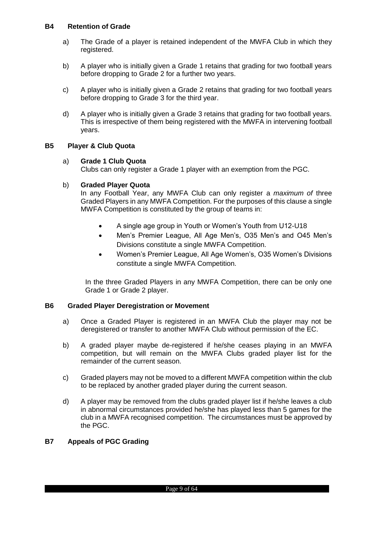## <span id="page-8-0"></span>**B4 Retention of Grade**

- a) The Grade of a player is retained independent of the MWFA Club in which they registered.
- b) A player who is initially given a Grade 1 retains that grading for two football years before dropping to Grade 2 for a further two years.
- c) A player who is initially given a Grade 2 retains that grading for two football years before dropping to Grade 3 for the third year.
- d) A player who is initially given a Grade 3 retains that grading for two football years. This is irrespective of them being registered with the MWFA in intervening football years.

## <span id="page-8-1"></span>**B5 Player & Club Quota**

#### a) **Grade 1 Club Quota**

Clubs can only register a Grade 1 player with an exemption from the PGC.

#### b) **Graded Player Quota**

In any Football Year, any MWFA Club can only register a *maximum of* three Graded Players in any MWFA Competition. For the purposes of this clause a single MWFA Competition is constituted by the group of teams in:

- A single age group in Youth or Women's Youth from U12-U18
- Men's Premier League, All Age Men's, O35 Men's and O45 Men's Divisions constitute a single MWFA Competition.
- Women's Premier League, All Age Women's, O35 Women's Divisions constitute a single MWFA Competition.

In the three Graded Players in any MWFA Competition, there can be only one Grade 1 or Grade 2 player.

#### <span id="page-8-2"></span>**B6 Graded Player Deregistration or Movement**

- a) Once a Graded Player is registered in an MWFA Club the player may not be deregistered or transfer to another MWFA Club without permission of the EC.
- b) A graded player maybe de-registered if he/she ceases playing in an MWFA competition, but will remain on the MWFA Clubs graded player list for the remainder of the current season.
- c) Graded players may not be moved to a different MWFA competition within the club to be replaced by another graded player during the current season.
- d) A player may be removed from the clubs graded player list if he/she leaves a club in abnormal circumstances provided he/she has played less than 5 games for the club in a MWFA recognised competition. The circumstances must be approved by the PGC.

#### <span id="page-8-3"></span>**B7 Appeals of PGC Grading**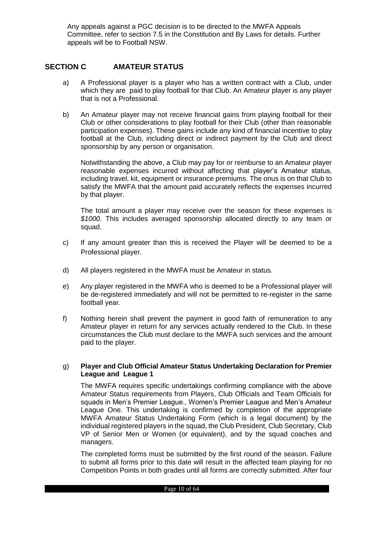Any appeals against a PGC decision is to be directed to the MWFA Appeals Committee, refer to section 7.5 in the Constitution and By Laws for details. Further appeals will be to Football NSW.

## <span id="page-9-0"></span>**SECTION C AMATEUR STATUS**

- a) A Professional player is a player who has a written contract with a Club, under which they are paid to play football for that Club. An Amateur player is any player that is not a Professional.
- b) An Amateur player may not receive financial gains from playing football for their Club or other considerations to play football for their Club (other than reasonable participation expenses). These gains include any kind of financial incentive to play football at the Club, including direct or indirect payment by the Club and direct sponsorship by any person or organisation.

Notwithstanding the above, a Club may pay for or reimburse to an Amateur player reasonable expenses incurred without affecting that player's Amateur status, including travel, kit, equipment or insurance premiums. The onus is on that Club to satisfy the MWFA that the amount paid accurately reflects the expenses incurred by that player.

The total amount a player may receive over the season for these expenses is *\$1000*. This includes averaged sponsorship allocated directly to any team or squad.

- c) If any amount greater than this is received the Player will be deemed to be a Professional player.
- d) All players registered in the MWFA must be Amateur in status.
- e) Any player registered in the MWFA who is deemed to be a Professional player will be de-registered immediately and will not be permitted to re-register in the same football year.
- f) Nothing herein shall prevent the payment in good faith of remuneration to any Amateur player in return for any services actually rendered to the Club. In these circumstances the Club must declare to the MWFA such services and the amount paid to the player.

#### g) **Player and Club Official Amateur Status Undertaking Declaration for Premier League and League 1**

The MWFA requires specific undertakings confirming compliance with the above Amateur Status requirements from Players, Club Officials and Team Officials for squads in Men's Premier League., Women's Premier League and Men's Amateur League One. This undertaking is confirmed by completion of the appropriate MWFA Amateur Status Undertaking Form (which is a legal document) by the individual registered players in the squad, the Club President, Club Secretary, Club VP of Senior Men or Women (or equivalent), and by the squad coaches and managers.

The completed forms must be submitted by the first round of the season. Failure to submit all forms prior to this date will result in the affected team playing for no Competition Points in both grades until all forms are correctly submitted. After four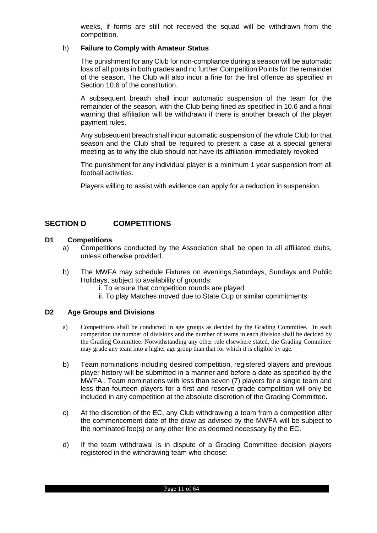weeks, if forms are still not received the squad will be withdrawn from the competition.

#### h) **Failure to Comply with Amateur Status**

The punishment for any Club for non-compliance during a season will be automatic loss of all points in both grades and no further Competition Points for the remainder of the season. The Club will also incur a fine for the first offence as specified in Section 10.6 of the constitution.

A subsequent breach shall incur automatic suspension of the team for the remainder of the season, with the Club being fined as specified in 10.6 and a final warning that affiliation will be withdrawn if there is another breach of the player payment rules.

Any subsequent breach shall incur automatic suspension of the whole Club for that season and the Club shall be required to present a case at a special general meeting as to why the club should not have its affiliation immediately revoked

The punishment for any individual player is a minimum 1 year suspension from all football activities.

Players willing to assist with evidence can apply for a reduction in suspension.

## <span id="page-10-0"></span>**SECTION D COMPETITIONS**

### <span id="page-10-1"></span>**D1 Competitions**

- a) Competitions conducted by the Association shall be open to all affiliated clubs, unless otherwise provided.
- b) The MWFA may schedule Fixtures on evenings,Saturdays, Sundays and Public Holidays, subject to availability of grounds:
	- i. To ensure that competition rounds are played
	- ii. To play Matches moved due to State Cup or similar commitments

#### <span id="page-10-2"></span>**D2 Age Groups and Divisions**

- a) Competitions shall be conducted in age groups as decided by the Grading Committee. In each competition the number of divisions and the number of teams in each division shall be decided by the Grading Committee. Notwithstanding any other rule elsewhere stated, the Grading Committee may grade any team into a higher age group than that for which it is eligible by age.
- b) Team nominations including desired competition, registered players and previous player history will be submitted in a manner and before a date as specified by the MWFA.. Team nominations with less than seven (7) players for a single team and less than fourteen players for a first and reserve grade competition will only be included in any competition at the absolute discretion of the Grading Committee.
- c) At the discretion of the EC, any Club withdrawing a team from a competition after the commencement date of the draw as advised by the MWFA will be subject to the nominated fee(s) or any other fine as deemed necessary by the EC.
- d) If the team withdrawal is in dispute of a Grading Committee decision players registered in the withdrawing team who choose: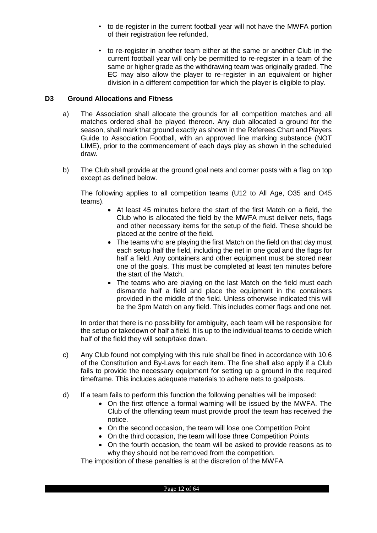- to de-register in the current football year will not have the MWFA portion of their registration fee refunded,
- to re-register in another team either at the same or another Club in the current football year will only be permitted to re-register in a team of the same or higher grade as the withdrawing team was originally graded. The EC may also allow the player to re-register in an equivalent or higher division in a different competition for which the player is eligible to play.

#### <span id="page-11-0"></span>**D3 Ground Allocations and Fitness**

- a) The Association shall allocate the grounds for all competition matches and all matches ordered shall be played thereon. Any club allocated a ground for the season, shall mark that ground exactly as shown in the Referees Chart and Players Guide to Association Football, with an approved line marking substance (NOT LIME), prior to the commencement of each days play as shown in the scheduled draw.
- b) The Club shall provide at the ground goal nets and corner posts with a flag on top except as defined below.

The following applies to all competition teams (U12 to All Age, O35 and O45 teams).

- At least 45 minutes before the start of the first Match on a field, the Club who is allocated the field by the MWFA must deliver nets, flags and other necessary items for the setup of the field. These should be placed at the centre of the field.
- The teams who are playing the first Match on the field on that day must each setup half the field, including the net in one goal and the flags for half a field. Any containers and other equipment must be stored near one of the goals. This must be completed at least ten minutes before the start of the Match.
- The teams who are playing on the last Match on the field must each dismantle half a field and place the equipment in the containers provided in the middle of the field. Unless otherwise indicated this will be the 3pm Match on any field. This includes corner flags and one net.

In order that there is no possibility for ambiguity, each team will be responsible for the setup or takedown of half a field. It is up to the individual teams to decide which half of the field they will setup/take down.

- c) Any Club found not complying with this rule shall be fined in accordance with 10.6 of the Constitution and By-Laws for each item. The fine shall also apply if a Club fails to provide the necessary equipment for setting up a ground in the required timeframe. This includes adequate materials to adhere nets to goalposts.
- d) If a team fails to perform this function the following penalties will be imposed:
	- On the first offence a formal warning will be issued by the MWFA. The Club of the offending team must provide proof the team has received the notice.
	- On the second occasion, the team will lose one Competition Point
	- On the third occasion, the team will lose three Competition Points
	- On the fourth occasion, the team will be asked to provide reasons as to why they should not be removed from the competition.

The imposition of these penalties is at the discretion of the MWFA.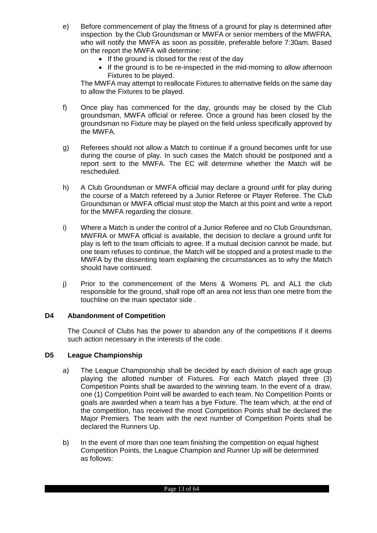- e) Before commencement of play the fitness of a ground for play is determined after inspection by the Club Groundsman or MWFA or senior members of the MWFRA, who will notify the MWFA as soon as possible, preferable before 7:30am. Based on the report the MWFA will determine:
	- If the ground is closed for the rest of the day
	- If the ground is to be re-inspected in the mid-morning to allow afternoon Fixtures to be played.

The MWFA may attempt to reallocate Fixtures to alternative fields on the same day to allow the Fixtures to be played.

- f) Once play has commenced for the day, grounds may be closed by the Club groundsman, MWFA official or referee. Once a ground has been closed by the groundsman no Fixture may be played on the field unless specifically approved by the MWFA.
- g) Referees should not allow a Match to continue if a ground becomes unfit for use during the course of play. In such cases the Match should be postponed and a report sent to the MWFA. The EC will determine whether the Match will be rescheduled.
- h) A Club Groundsman or MWFA official may declare a ground unfit for play during the course of a Match refereed by a Junior Referee or Player Referee. The Club Groundsman or MWFA official must stop the Match at this point and write a report for the MWFA regarding the closure.
- i) Where a Match is under the control of a Junior Referee and no Club Groundsman, MWFRA or MWFA official is available, the decision to declare a ground unfit for play is left to the team officials to agree. If a mutual decision cannot be made, but one team refuses to continue, the Match will be stopped and a protest made to the MWFA by the dissenting team explaining the circumstances as to why the Match should have continued.
- j) Prior to the commencement of the Mens & Womens PL and AL1 the club responsible for the ground, shall rope off an area not less than one metre from the touchline on the main spectator side .

#### <span id="page-12-0"></span>**D4 Abandonment of Competition**

The Council of Clubs has the power to abandon any of the competitions if it deems such action necessary in the interests of the code.

#### <span id="page-12-1"></span>**D5 League Championship**

- a) The League Championship shall be decided by each division of each age group playing the allotted number of Fixtures. For each Match played three (3) Competition Points shall be awarded to the winning team. In the event of a draw, one (1) Competition Point will be awarded to each team. No Competition Points or goals are awarded when a team has a bye Fixture. The team which, at the end of the competition, has received the most Competition Points shall be declared the Major Premiers. The team with the next number of Competition Points shall be declared the Runners Up.
- b) In the event of more than one team finishing the competition on equal highest Competition Points, the League Champion and Runner Up will be determined as follows: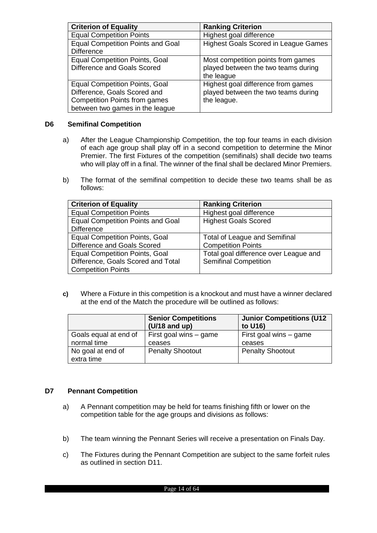| <b>Criterion of Equality</b>             | <b>Ranking Criterion</b>                    |  |  |
|------------------------------------------|---------------------------------------------|--|--|
| <b>Equal Competition Points</b>          | Highest goal difference                     |  |  |
| <b>Equal Competition Points and Goal</b> | <b>Highest Goals Scored in League Games</b> |  |  |
| <b>Difference</b>                        |                                             |  |  |
| <b>Equal Competition Points, Goal</b>    | Most competition points from games          |  |  |
| Difference and Goals Scored              | played between the two teams during         |  |  |
|                                          | the league                                  |  |  |
| <b>Equal Competition Points, Goal</b>    | Highest goal difference from games          |  |  |
| Difference, Goals Scored and             | played between the two teams during         |  |  |
| <b>Competition Points from games</b>     | the league.                                 |  |  |
| between two games in the league          |                                             |  |  |

#### <span id="page-13-0"></span>**D6 Semifinal Competition**

- a) After the League Championship Competition, the top four teams in each division of each age group shall play off in a second competition to determine the Minor Premier. The first Fixtures of the competition (semifinals) shall decide two teams who will play off in a final. The winner of the final shall be declared Minor Premiers.
- b) The format of the semifinal competition to decide these two teams shall be as follows:

| <b>Criterion of Equality</b>             | <b>Ranking Criterion</b>              |  |  |
|------------------------------------------|---------------------------------------|--|--|
| <b>Equal Competition Points</b>          | Highest goal difference               |  |  |
| <b>Equal Competition Points and Goal</b> | <b>Highest Goals Scored</b>           |  |  |
| <b>Difference</b>                        |                                       |  |  |
| <b>Equal Competition Points, Goal</b>    | <b>Total of League and Semifinal</b>  |  |  |
| Difference and Goals Scored              | <b>Competition Points</b>             |  |  |
| <b>Equal Competition Points, Goal</b>    | Total goal difference over League and |  |  |
| Difference, Goals Scored and Total       | <b>Semifinal Competition</b>          |  |  |
| <b>Competition Points</b>                |                                       |  |  |

**c)** Where a Fixture in this competition is a knockout and must have a winner declared at the end of the Match the procedure will be outlined as follows:

|                                      | <b>Senior Competitions</b><br>$(U/18$ and up) | <b>Junior Competitions (U12</b><br>to U16) |  |
|--------------------------------------|-----------------------------------------------|--------------------------------------------|--|
| Goals equal at end of<br>normal time | First goal wins $-$ game<br>ceases            | First goal wins – game<br>ceases           |  |
| No goal at end of<br>extra time      | <b>Penalty Shootout</b>                       | <b>Penalty Shootout</b>                    |  |

## <span id="page-13-1"></span>**D7 Pennant Competition**

- a) A Pennant competition may be held for teams finishing fifth or lower on the competition table for the age groups and divisions as follows:
- b) The team winning the Pennant Series will receive a presentation on Finals Day.
- c) The Fixtures during the Pennant Competition are subject to the same forfeit rules as outlined in section D11.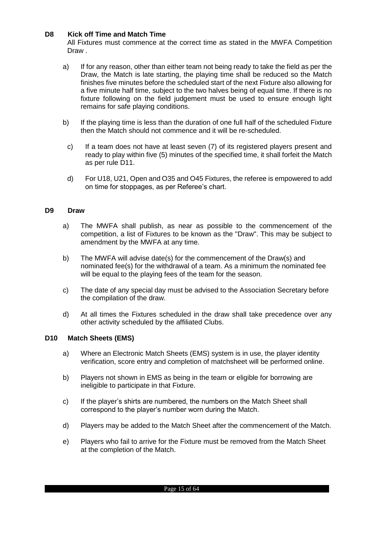#### <span id="page-14-0"></span>**D8 Kick off Time and Match Time**

All Fixtures must commence at the correct time as stated in the MWFA Competition Draw.

- a) If for any reason, other than either team not being ready to take the field as per the Draw, the Match is late starting, the playing time shall be reduced so the Match finishes five minutes before the scheduled start of the next Fixture also allowing for a five minute half time, subject to the two halves being of equal time. If there is no fixture following on the field judgement must be used to ensure enough light remains for safe playing conditions.
- b) If the playing time is less than the duration of one full half of the scheduled Fixture then the Match should not commence and it will be re-scheduled.
- c) If a team does not have at least seven (7) of its registered players present and ready to play within five (5) minutes of the specified time, it shall forfeit the Match as per rule D11.
- d) For U18, U21, Open and O35 and O45 Fixtures, the referee is empowered to add on time for stoppages, as per Referee's chart.

#### <span id="page-14-1"></span>**D9 Draw**

- a) The MWFA shall publish, as near as possible to the commencement of the competition, a list of Fixtures to be known as the "Draw". This may be subject to amendment by the MWFA at any time.
- b) The MWFA will advise date(s) for the commencement of the Draw(s) and nominated fee(s) for the withdrawal of a team. As a minimum the nominated fee will be equal to the playing fees of the team for the season.
- c) The date of any special day must be advised to the Association Secretary before the compilation of the draw.
- d) At all times the Fixtures scheduled in the draw shall take precedence over any other activity scheduled by the affiliated Clubs.

#### <span id="page-14-2"></span>**D10 Match Sheets (EMS)**

- a) Where an Electronic Match Sheets (EMS) system is in use, the player identity verification, score entry and completion of matchsheet will be performed online.
- b) Players not shown in EMS as being in the team or eligible for borrowing are ineligible to participate in that Fixture.
- c) If the player's shirts are numbered, the numbers on the Match Sheet shall correspond to the player's number worn during the Match.
- d) Players may be added to the Match Sheet after the commencement of the Match.
- e) Players who fail to arrive for the Fixture must be removed from the Match Sheet at the completion of the Match.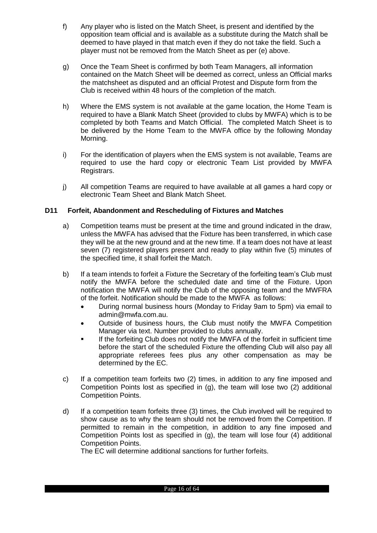- f) Any player who is listed on the Match Sheet, is present and identified by the opposition team official and is available as a substitute during the Match shall be deemed to have played in that match even if they do not take the field. Such a player must not be removed from the Match Sheet as per (e) above.
- g) Once the Team Sheet is confirmed by both Team Managers, all information contained on the Match Sheet will be deemed as correct, unless an Official marks the matchsheet as disputed and an official Protest and Dispute form from the Club is received within 48 hours of the completion of the match.
- h) Where the EMS system is not available at the game location, the Home Team is required to have a Blank Match Sheet (provided to clubs by MWFA) which is to be completed by both Teams and Match Official. The completed Match Sheet is to be delivered by the Home Team to the MWFA office by the following Monday Morning.
- i) For the identification of players when the EMS system is not available, Teams are required to use the hard copy or electronic Team List provided by MWFA Registrars.
- j) All competition Teams are required to have available at all games a hard copy or electronic Team Sheet and Blank Match Sheet.

## <span id="page-15-0"></span>**D11 Forfeit, Abandonment and Rescheduling of Fixtures and Matches**

- a) Competition teams must be present at the time and ground indicated in the draw, unless the MWFA has advised that the Fixture has been transferred, in which case they will be at the new ground and at the new time. If a team does not have at least seven (7) registered players present and ready to play within five (5) minutes of the specified time, it shall forfeit the Match.
- b) If a team intends to forfeit a Fixture the Secretary of the forfeiting team's Club must notify the MWFA before the scheduled date and time of the Fixture. Upon notification the MWFA will notify the Club of the opposing team and the MWFRA of the forfeit. Notification should be made to the MWFA as follows:
	- During normal business hours (Monday to Friday 9am to 5pm) via email to admin@mwfa.com.au.
	- Outside of business hours, the Club must notify the MWFA Competition Manager via text. Number provided to clubs annually.
	- If the forfeiting Club does not notify the MWFA of the forfeit in sufficient time before the start of the scheduled Fixture the offending Club will also pay all appropriate referees fees plus any other compensation as may be determined by the EC.
- c) If a competition team forfeits two (2) times, in addition to any fine imposed and Competition Points lost as specified in (g), the team will lose two (2) additional Competition Points.
- d) If a competition team forfeits three (3) times, the Club involved will be required to show cause as to why the team should not be removed from the Competition. If permitted to remain in the competition, in addition to any fine imposed and Competition Points lost as specified in (g), the team will lose four (4) additional Competition Points.

The EC will determine additional sanctions for further forfeits.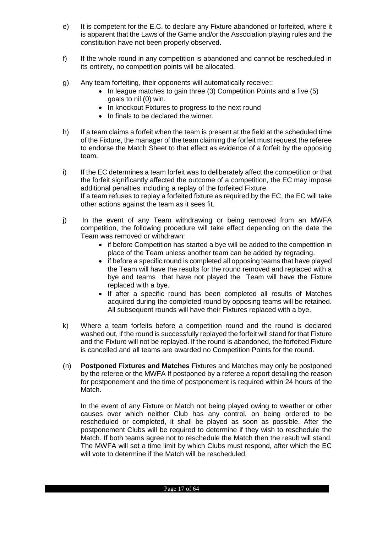- e) It is competent for the E.C. to declare any Fixture abandoned or forfeited, where it is apparent that the Laws of the Game and/or the Association playing rules and the constitution have not been properly observed.
- f) If the whole round in any competition is abandoned and cannot be rescheduled in its entirety, no competition points will be allocated.
- g) Any team forfeiting, their opponents will automatically receive::
	- $\bullet$  In league matches to gain three (3) Competition Points and a five (5) goals to nil (0) win.
	- In knockout Fixtures to progress to the next round
	- In finals to be declared the winner
- h) If a team claims a forfeit when the team is present at the field at the scheduled time of the Fixture, the manager of the team claiming the forfeit must request the referee to endorse the Match Sheet to that effect as evidence of a forfeit by the opposing team.
- i) If the EC determines a team forfeit was to deliberately affect the competition or that the forfeit significantly affected the outcome of a competition, the EC may impose additional penalties including a replay of the forfeited Fixture. If a team refuses to replay a forfeited fixture as required by the EC, the EC will take other actions against the team as it sees fit.
- j) In the event of any Team withdrawing or being removed from an MWFA competition, the following procedure will take effect depending on the date the Team was removed or withdrawn:
	- if before Competition has started a bye will be added to the competition in place of the Team unless another team can be added by regrading.
	- if before a specific round is completed all opposing teams that have played the Team will have the results for the round removed and replaced with a bye and teams that have not played the Team will have the Fixture replaced with a bye.
	- If after a specific round has been completed all results of Matches acquired during the completed round by opposing teams will be retained. All subsequent rounds will have their Fixtures replaced with a bye.
- k) Where a team forfeits before a competition round and the round is declared washed out, if the round is successfully replayed the forfeit will stand for that Fixture and the Fixture will not be replayed. If the round is abandoned, the forfeited Fixture is cancelled and all teams are awarded no Competition Points for the round.
- (n) **Postponed Fixtures and Matches** Fixtures and Matches may only be postponed by the referee or the MWFA If postponed by a referee a report detailing the reason for postponement and the time of postponement is required within 24 hours of the Match.

In the event of any Fixture or Match not being played owing to weather or other causes over which neither Club has any control, on being ordered to be rescheduled or completed, it shall be played as soon as possible. After the postponement Clubs will be required to determine if they wish to reschedule the Match. If both teams agree not to reschedule the Match then the result will stand. The MWFA will set a time limit by which Clubs must respond, after which the EC will vote to determine if the Match will be rescheduled.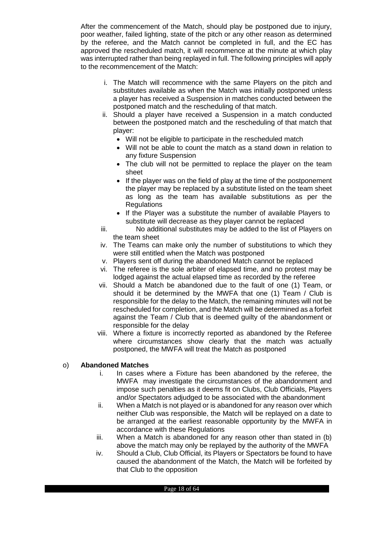After the commencement of the Match, should play be postponed due to injury, poor weather, failed lighting, state of the pitch or any other reason as determined by the referee, and the Match cannot be completed in full, and the EC has approved the rescheduled match, it will recommence at the minute at which play was interrupted rather than being replayed in full. The following principles will apply to the recommencement of the Match:

- i. The Match will recommence with the same Players on the pitch and substitutes available as when the Match was initially postponed unless a player has received a Suspension in matches conducted between the postponed match and the rescheduling of that match.
- ii. Should a player have received a Suspension in a match conducted between the postponed match and the rescheduling of that match that player:
	- Will not be eligible to participate in the rescheduled match
	- Will not be able to count the match as a stand down in relation to any fixture Suspension
	- The club will not be permitted to replace the player on the team sheet
	- If the player was on the field of play at the time of the postponement the player may be replaced by a substitute listed on the team sheet as long as the team has available substitutions as per the Regulations
	- If the Player was a substitute the number of available Players to substitute will decrease as they player cannot be replaced
- iii. No additional substitutes may be added to the list of Players on the team sheet
- iv. The Teams can make only the number of substitutions to which they were still entitled when the Match was postponed
- v. Players sent off during the abandoned Match cannot be replaced
- vi. The referee is the sole arbiter of elapsed time, and no protest may be lodged against the actual elapsed time as recorded by the referee
- vii. Should a Match be abandoned due to the fault of one (1) Team, or should it be determined by the MWFA that one (1) Team / Club is responsible for the delay to the Match, the remaining minutes will not be rescheduled for completion, and the Match will be determined as a forfeit against the Team / Club that is deemed guilty of the abandonment or responsible for the delay
- viii. Where a fixture is incorrectly reported as abandoned by the Referee where circumstances show clearly that the match was actually postponed, the MWFA will treat the Match as postponed

## o) **Abandoned Matches**

- i. In cases where a Fixture has been abandoned by the referee, the MWFA may investigate the circumstances of the abandonment and impose such penalties as it deems fit on Clubs, Club Officials, Players and/or Spectators adjudged to be associated with the abandonment
- ii. When a Match is not played or is abandoned for any reason over which neither Club was responsible, the Match will be replayed on a date to be arranged at the earliest reasonable opportunity by the MWFA in accordance with these Regulations
- iii. When a Match is abandoned for any reason other than stated in (b) above the match may only be replayed by the authority of the MWFA
- iv. Should a Club, Club Official, its Players or Spectators be found to have caused the abandonment of the Match, the Match will be forfeited by that Club to the opposition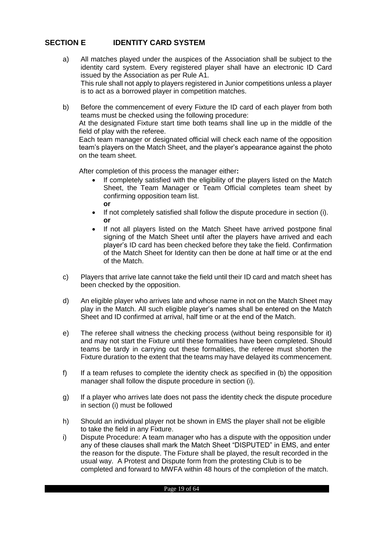## <span id="page-18-0"></span>**SECTION E IDENTITY CARD SYSTEM**

- a) All matches played under the auspices of the Association shall be subject to the identity card system. Every registered player shall have an electronic ID Card issued by the Association as per Rule A1. This rule shall not apply to players registered in Junior competitions unless a player is to act as a borrowed player in competition matches.
- b) Before the commencement of every Fixture the ID card of each player from both teams must be checked using the following procedure:

At the designated Fixture start time both teams shall line up in the middle of the field of play with the referee.

Each team manager or designated official will check each name of the opposition team's players on the Match Sheet, and the player's appearance against the photo on the team sheet.

After completion of this process the manager either**:**

- If completely satisfied with the eligibility of the players listed on the Match Sheet, the Team Manager or Team Official completes team sheet by confirming opposition team list. **or**
- If not completely satisfied shall follow the dispute procedure in section (i). **or**
- If not all players listed on the Match Sheet have arrived postpone final signing of the Match Sheet until after the players have arrived and each player's ID card has been checked before they take the field. Confirmation of the Match Sheet for Identity can then be done at half time or at the end of the Match.
- c) Players that arrive late cannot take the field until their ID card and match sheet has been checked by the opposition.
- d) An eligible player who arrives late and whose name in not on the Match Sheet may play in the Match. All such eligible player's names shall be entered on the Match Sheet and ID confirmed at arrival, half time or at the end of the Match.
- e) The referee shall witness the checking process (without being responsible for it) and may not start the Fixture until these formalities have been completed. Should teams be tardy in carrying out these formalities, the referee must shorten the Fixture duration to the extent that the teams may have delayed its commencement.
- f) If a team refuses to complete the identity check as specified in (b) the opposition manager shall follow the dispute procedure in section (i).
- g) If a player who arrives late does not pass the identity check the dispute procedure in section (i) must be followed
- h) Should an individual player not be shown in EMS the player shall not be eligible to take the field in any Fixture.
- i) Dispute Procedure: A team manager who has a dispute with the opposition under any of these clauses shall mark the Match Sheet "DISPUTED" in EMS, and enter the reason for the dispute. The Fixture shall be played, the result recorded in the usual way. A Protest and Dispute form from the protesting Club is to be completed and forward to MWFA within 48 hours of the completion of the match.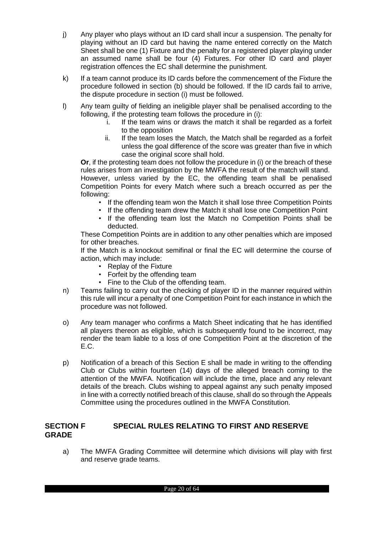- j) Any player who plays without an ID card shall incur a suspension. The penalty for playing without an ID card but having the name entered correctly on the Match Sheet shall be one (1) Fixture and the penalty for a registered player playing under an assumed name shall be four (4) Fixtures. For other ID card and player registration offences the EC shall determine the punishment.
- k) If a team cannot produce its ID cards before the commencement of the Fixture the procedure followed in section (b) should be followed. If the ID cards fail to arrive, the dispute procedure in section (i) must be followed.
- l) Any team guilty of fielding an ineligible player shall be penalised according to the following, if the protesting team follows the procedure in (i):
	- i. If the team wins or draws the match it shall be regarded as a forfeit to the opposition
	- ii. If the team loses the Match, the Match shall be regarded as a forfeit unless the goal difference of the score was greater than five in which case the original score shall hold.

**Or**, if the protesting team does not follow the procedure in (i) or the breach of these rules arises from an investigation by the MWFA the result of the match will stand. However, unless varied by the EC, the offending team shall be penalised Competition Points for every Match where such a breach occurred as per the following:

- If the offending team won the Match it shall lose three Competition Points
- If the offending team drew the Match it shall lose one Competition Point
- If the offending team lost the Match no Competition Points shall be deducted.

These Competition Points are in addition to any other penalties which are imposed for other breaches.

If the Match is a knockout semifinal or final the EC will determine the course of action, which may include:

- Replay of the Fixture
- Forfeit by the offending team
- Fine to the Club of the offending team.
- n) Teams failing to carry out the checking of player ID in the manner required within this rule will incur a penalty of one Competition Point for each instance in which the procedure was not followed.
- o) Any team manager who confirms a Match Sheet indicating that he has identified all players thereon as eligible, which is subsequently found to be incorrect, may render the team liable to a loss of one Competition Point at the discretion of the E.C.
- p) Notification of a breach of this Section E shall be made in writing to the offending Club or Clubs within fourteen (14) days of the alleged breach coming to the attention of the MWFA. Notification will include the time, place and any relevant details of the breach. Clubs wishing to appeal against any such penalty imposed in line with a correctly notified breach of this clause, shall do so through the Appeals Committee using the procedures outlined in the MWFA Constitution.

## <span id="page-19-0"></span>**SECTION F SPECIAL RULES RELATING TO FIRST AND RESERVE GRADE**

a) The MWFA Grading Committee will determine which divisions will play with first and reserve grade teams.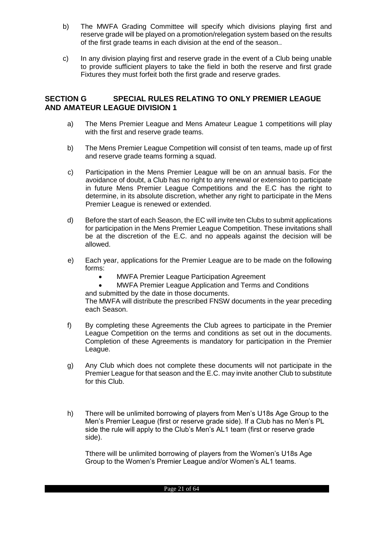- b) The MWFA Grading Committee will specify which divisions playing first and reserve grade will be played on a promotion/relegation system based on the results of the first grade teams in each division at the end of the season..
- c) In any division playing first and reserve grade in the event of a Club being unable to provide sufficient players to take the field in both the reserve and first grade Fixtures they must forfeit both the first grade and reserve grades.

## <span id="page-20-0"></span>**SECTION G SPECIAL RULES RELATING TO ONLY PREMIER LEAGUE AND AMATEUR LEAGUE DIVISION 1**

- a) The Mens Premier League and Mens Amateur League 1 competitions will play with the first and reserve grade teams.
- b) The Mens Premier League Competition will consist of ten teams, made up of first and reserve grade teams forming a squad.
- c) Participation in the Mens Premier League will be on an annual basis. For the avoidance of doubt, a Club has no right to any renewal or extension to participate in future Mens Premier League Competitions and the E.C has the right to determine, in its absolute discretion, whether any right to participate in the Mens Premier League is renewed or extended.
- d) Before the start of each Season, the EC will invite ten Clubs to submit applications for participation in the Mens Premier League Competition. These invitations shall be at the discretion of the E.C. and no appeals against the decision will be allowed.
- e) Each year, applications for the Premier League are to be made on the following forms:
	- MWFA Premier League Participation Agreement

 MWFA Premier League Application and Terms and Conditions and submitted by the date in those documents.

The MWFA will distribute the prescribed FNSW documents in the year preceding each Season.

- f) By completing these Agreements the Club agrees to participate in the Premier League Competition on the terms and conditions as set out in the documents. Completion of these Agreements is mandatory for participation in the Premier League.
- g) Any Club which does not complete these documents will not participate in the Premier League for that season and the E.C. may invite another Club to substitute for this Club.
- h) There will be unlimited borrowing of players from Men's U18s Age Group to the Men's Premier League (first or reserve grade side). If a Club has no Men's PL side the rule will apply to the Club's Men's AL1 team (first or reserve grade side).

Tthere will be unlimited borrowing of players from the Women's U18s Age Group to the Women's Premier League and/or Women's AL1 teams.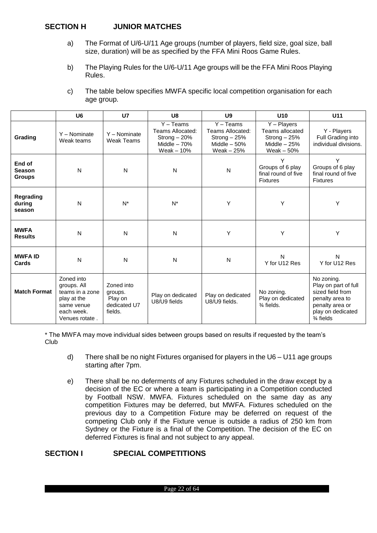## <span id="page-21-0"></span>**SECTION H JUNIOR MATCHES**

- a) The Format of U/6-U/11 Age groups (number of players, field size, goal size, ball size, duration) will be as specified by the FFA Mini Roos Game Rules.
- b) The Playing Rules for the U/6-U/11 Age groups will be the FFA Mini Roos Playing Rules.

| C) | The table below specifies MWFA specific local competition organisation for each |
|----|---------------------------------------------------------------------------------|
|    | age group.                                                                      |

|                                          | U <sub>6</sub>                                                                                            | U7                                                          | U8                                                                                        | U <sub>9</sub>                                                                           | U10                                                                                          | U11                                                                                                                                       |
|------------------------------------------|-----------------------------------------------------------------------------------------------------------|-------------------------------------------------------------|-------------------------------------------------------------------------------------------|------------------------------------------------------------------------------------------|----------------------------------------------------------------------------------------------|-------------------------------------------------------------------------------------------------------------------------------------------|
| Grading                                  | Y - Nominate<br>Weak teams                                                                                | Y - Nominate<br>Weak Teams                                  | $\overline{Y}$ – Teams<br>Teams Allocated:<br>Strong - 20%<br>Middle $-70%$<br>Weak - 10% | $\overline{Y}$ – Teams<br>Teams Allocated:<br>Strong-25%<br>Middle $-50%$<br>Weak $-25%$ | $\overline{Y}$ – Players<br>Teams allocated<br>Strong $-25%$<br>Middle $-25%$<br>Weak $-50%$ | Y - Players<br>Full Grading into<br>individual divisions.                                                                                 |
| End of<br><b>Season</b><br><b>Groups</b> | N                                                                                                         | $\mathsf{N}$                                                | ${\sf N}$                                                                                 | N                                                                                        | Υ<br>Groups of 6 play<br>final round of five<br><b>Fixtures</b>                              | Y<br>Groups of 6 play<br>final round of five<br><b>Fixtures</b>                                                                           |
| Regrading<br>during<br>season            | N                                                                                                         | $N^*$                                                       | $N^*$                                                                                     | Υ                                                                                        | Υ                                                                                            | Υ                                                                                                                                         |
| <b>MWFA</b><br><b>Results</b>            | N                                                                                                         | $\mathsf{N}$                                                | ${\sf N}$                                                                                 | Υ                                                                                        | Y                                                                                            | Y                                                                                                                                         |
| <b>MWFA ID</b><br>Cards                  | N                                                                                                         | N                                                           | N                                                                                         | N                                                                                        | N<br>Y for U12 Res                                                                           | N<br>Y for U12 Res                                                                                                                        |
| <b>Match Format</b>                      | Zoned into<br>groups. All<br>teams in a zone<br>play at the<br>same venue<br>each week.<br>Venues rotate. | Zoned into<br>groups.<br>Play on<br>dedicated U7<br>fields. | Play on dedicated<br>U8/U9 fields                                                         | Play on dedicated<br>U8/U9 fields.                                                       | No zoning.<br>Play on dedicated<br>$\frac{3}{4}$ fields.                                     | No zoning.<br>Play on part of full<br>sized field from<br>penalty area to<br>penalty area or<br>play on dedicated<br>$\frac{3}{4}$ fields |

\* The MWFA may move individual sides between groups based on results if requested by the team's Club

- d) There shall be no night Fixtures organised for players in the U6 U11 age groups starting after 7pm.
- e) There shall be no deferments of any Fixtures scheduled in the draw except by a decision of the EC or where a team is participating in a Competition conducted by Football NSW. MWFA. Fixtures scheduled on the same day as any competition Fixtures may be deferred, but MWFA. Fixtures scheduled on the previous day to a Competition Fixture may be deferred on request of the competing Club only if the Fixture venue is outside a radius of 250 km from Sydney or the Fixture is a final of the Competition. The decision of the EC on deferred Fixtures is final and not subject to any appeal.

## <span id="page-21-1"></span>**SECTION I SPECIAL COMPETITIONS**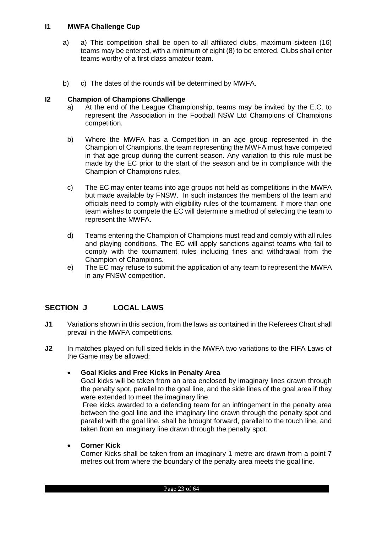## <span id="page-22-0"></span>**I1 MWFA Challenge Cup**

- a) a) This competition shall be open to all affiliated clubs, maximum sixteen (16) teams may be entered, with a minimum of eight (8) to be entered. Clubs shall enter teams worthy of a first class amateur team.
- b) c) The dates of the rounds will be determined by MWFA.

## <span id="page-22-1"></span>**I2 Champion of Champions Challenge**

- a) At the end of the League Championship, teams may be invited by the E.C. to represent the Association in the Football NSW Ltd Champions of Champions competition.
- b) Where the MWFA has a Competition in an age group represented in the Champion of Champions, the team representing the MWFA must have competed in that age group during the current season. Any variation to this rule must be made by the EC prior to the start of the season and be in compliance with the Champion of Champions rules.
- c) The EC may enter teams into age groups not held as competitions in the MWFA but made available by FNSW. In such instances the members of the team and officials need to comply with eligibility rules of the tournament. If more than one team wishes to compete the EC will determine a method of selecting the team to represent the MWFA.
- d) Teams entering the Champion of Champions must read and comply with all rules and playing conditions. The EC will apply sanctions against teams who fail to comply with the tournament rules including fines and withdrawal from the Champion of Champions.
- e) The EC may refuse to submit the application of any team to represent the MWFA in any FNSW competition.

## <span id="page-22-2"></span>**SECTION J LOCAL LAWS**

- **J1** Variations shown in this section, from the laws as contained in the Referees Chart shall prevail in the MWFA competitions.
- **J2** In matches played on full sized fields in the MWFA two variations to the FIFA Laws of the Game may be allowed:

#### **Goal Kicks and Free Kicks in Penalty Area**

Goal kicks will be taken from an area enclosed by imaginary lines drawn through the penalty spot, parallel to the goal line, and the side lines of the goal area if they were extended to meet the imaginary line.

Free kicks awarded to a defending team for an infringement in the penalty area between the goal line and the imaginary line drawn through the penalty spot and parallel with the goal line, shall be brought forward, parallel to the touch line, and taken from an imaginary line drawn through the penalty spot.

#### **Corner Kick**

Corner Kicks shall be taken from an imaginary 1 metre arc drawn from a point 7 metres out from where the boundary of the penalty area meets the goal line.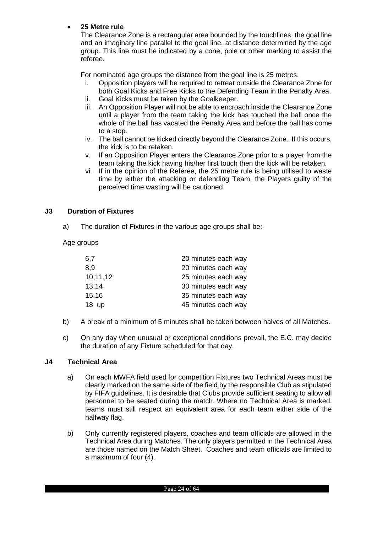## **25 Metre rule**

The Clearance Zone is a rectangular area bounded by the touchlines, the goal line and an imaginary line parallel to the goal line, at distance determined by the age group. This line must be indicated by a cone, pole or other marking to assist the referee.

For nominated age groups the distance from the goal line is 25 metres.

- i. Opposition players will be required to retreat outside the Clearance Zone for both Goal Kicks and Free Kicks to the Defending Team in the Penalty Area.
- ii. Goal Kicks must be taken by the Goalkeeper.
- iii. An Opposition Player will not be able to encroach inside the Clearance Zone until a player from the team taking the kick has touched the ball once the whole of the ball has vacated the Penalty Area and before the ball has come to a stop.
- iv. The ball cannot be kicked directly beyond the Clearance Zone. If this occurs, the kick is to be retaken.
- v. If an Opposition Player enters the Clearance Zone prior to a player from the team taking the kick having his/her first touch then the kick will be retaken.
- vi. If in the opinion of the Referee, the 25 metre rule is being utilised to waste time by either the attacking or defending Team, the Players guilty of the perceived time wasting will be cautioned.

## <span id="page-23-0"></span>**J3 Duration of Fixtures**

a) The duration of Fixtures in the various age groups shall be:-

Age groups

| 6,7      | 20 minutes each way |
|----------|---------------------|
| 8,9      | 20 minutes each way |
| 10,11,12 | 25 minutes each way |
| 13,14    | 30 minutes each way |
| 15,16    | 35 minutes each way |
| 18 up    | 45 minutes each way |

- b) A break of a minimum of 5 minutes shall be taken between halves of all Matches.
- c) On any day when unusual or exceptional conditions prevail, the E.C. may decide the duration of any Fixture scheduled for that day.

#### <span id="page-23-1"></span>**J4 Technical Area**

- a) On each MWFA field used for competition Fixtures two Technical Areas must be clearly marked on the same side of the field by the responsible Club as stipulated by FIFA guidelines. It is desirable that Clubs provide sufficient seating to allow all personnel to be seated during the match. Where no Technical Area is marked, teams must still respect an equivalent area for each team either side of the halfway flag.
- b) Only currently registered players, coaches and team officials are allowed in the Technical Area during Matches. The only players permitted in the Technical Area are those named on the Match Sheet. Coaches and team officials are limited to a maximum of four (4).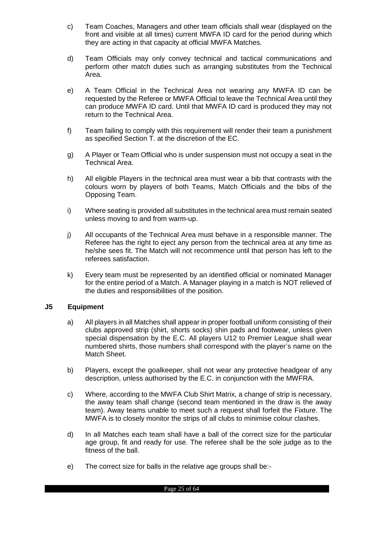- c) Team Coaches, Managers and other team officials shall wear (displayed on the front and visible at all times) current MWFA ID card for the period during which they are acting in that capacity at official MWFA Matches.
- d) Team Officials may only convey technical and tactical communications and perform other match duties such as arranging substitutes from the Technical Area.
- e) A Team Official in the Technical Area not wearing any MWFA ID can be requested by the Referee or MWFA Official to leave the Technical Area until they can produce MWFA ID card. Until that MWFA ID card is produced they may not return to the Technical Area.
- f) Team failing to comply with this requirement will render their team a punishment as specified Section T. at the discretion of the EC.
- g) A Player or Team Official who is under suspension must not occupy a seat in the Technical Area.
- h) All eligible Players in the technical area must wear a bib that contrasts with the colours worn by players of both Teams, Match Officials and the bibs of the Opposing Team.
- i) Where seating is provided all substitutes in the technical area must remain seated unless moving to and from warm-up.
- j) All occupants of the Technical Area must behave in a responsible manner. The Referee has the right to eject any person from the technical area at any time as he/she sees fit. The Match will not recommence until that person has left to the referees satisfaction.
- k) Every team must be represented by an identified official or nominated Manager for the entire period of a Match. A Manager playing in a match is NOT relieved of the duties and responsibilities of the position.

#### <span id="page-24-0"></span>**J5 Equipment**

- a) All players in all Matches shall appear in proper football uniform consisting of their clubs approved strip (shirt, shorts socks) shin pads and footwear, unless given special dispensation by the E.C. All players U12 to Premier League shall wear numbered shirts, those numbers shall correspond with the player's name on the Match Sheet.
- b) Players, except the goalkeeper, shall not wear any protective headgear of any description, unless authorised by the E.C. in conjunction with the MWFRA.
- c) Where, according to the MWFA Club Shirt Matrix, a change of strip is necessary, the away team shall change (second team mentioned in the draw is the away team). Away teams unable to meet such a request shall forfeit the Fixture. The MWFA is to closely monitor the strips of all clubs to minimise colour clashes.
- d) In all Matches each team shall have a ball of the correct size for the particular age group, fit and ready for use. The referee shall be the sole judge as to the fitness of the ball.
- e) The correct size for balls in the relative age groups shall be:-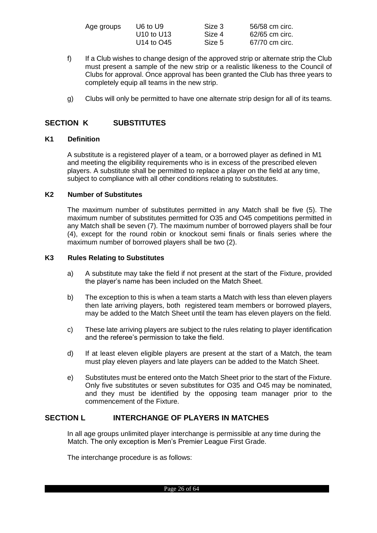| Age groups | U6 to U9                           | Size 3 | 56/58 cm circ. |
|------------|------------------------------------|--------|----------------|
|            | U <sub>10</sub> to U <sub>13</sub> | Size 4 | 62/65 cm circ. |
|            | U <sub>14</sub> to O <sub>45</sub> | Size 5 | 67/70 cm circ. |

- f) If a Club wishes to change design of the approved strip or alternate strip the Club must present a sample of the new strip or a realistic likeness to the Council of Clubs for approval. Once approval has been granted the Club has three years to completely equip all teams in the new strip.
- g) Clubs will only be permitted to have one alternate strip design for all of its teams.

## <span id="page-25-0"></span>**SECTION K SUBSTITUTES**

#### <span id="page-25-1"></span>**K1 Definition**

A substitute is a registered player of a team, or a borrowed player as defined in M1 and meeting the eligibility requirements who is in excess of the prescribed eleven players. A substitute shall be permitted to replace a player on the field at any time, subject to compliance with all other conditions relating to substitutes.

#### <span id="page-25-2"></span>**K2 Number of Substitutes**

The maximum number of substitutes permitted in any Match shall be five (5). The maximum number of substitutes permitted for O35 and O45 competitions permitted in any Match shall be seven (7). The maximum number of borrowed players shall be four (4), except for the round robin or knockout semi finals or finals series where the maximum number of borrowed players shall be two (2).

#### <span id="page-25-3"></span>**K3 Rules Relating to Substitutes**

- a) A substitute may take the field if not present at the start of the Fixture, provided the player's name has been included on the Match Sheet.
- b) The exception to this is when a team starts a Match with less than eleven players then late arriving players, both registered team members or borrowed players, may be added to the Match Sheet until the team has eleven players on the field.
- c) These late arriving players are subject to the rules relating to player identification and the referee's permission to take the field.
- d) If at least eleven eligible players are present at the start of a Match, the team must play eleven players and late players can be added to the Match Sheet.
- e) Substitutes must be entered onto the Match Sheet prior to the start of the Fixture. Only five substitutes or seven substitutes for O35 and O45 may be nominated, and they must be identified by the opposing team manager prior to the commencement of the Fixture.

## <span id="page-25-4"></span>**SECTION L INTERCHANGE OF PLAYERS IN MATCHES**

In all age groups unlimited player interchange is permissible at any time during the Match. The only exception is Men's Premier League First Grade.

The interchange procedure is as follows: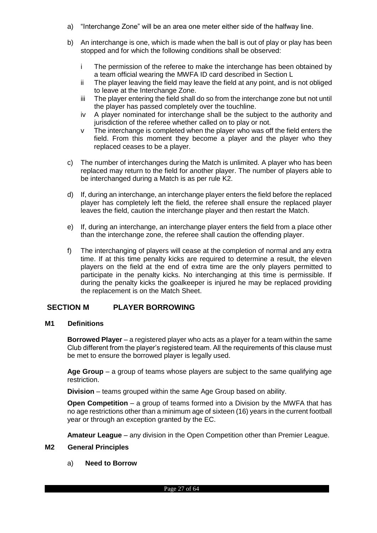- a) "Interchange Zone" will be an area one meter either side of the halfway line.
- b) An interchange is one, which is made when the ball is out of play or play has been stopped and for which the following conditions shall be observed:
	- i The permission of the referee to make the interchange has been obtained by a team official wearing the MWFA ID card described in Section L
	- ii The player leaving the field may leave the field at any point, and is not obliged to leave at the Interchange Zone.
	- iii The player entering the field shall do so from the interchange zone but not until the player has passed completely over the touchline.
	- iv A player nominated for interchange shall be the subject to the authority and jurisdiction of the referee whether called on to play or not.
	- v The interchange is completed when the player who was off the field enters the field. From this moment they become a player and the player who they replaced ceases to be a player.
- c) The number of interchanges during the Match is unlimited. A player who has been replaced may return to the field for another player. The number of players able to be interchanged during a Match is as per rule K2.
- d) If, during an interchange, an interchange player enters the field before the replaced player has completely left the field, the referee shall ensure the replaced player leaves the field, caution the interchange player and then restart the Match.
- e) If, during an interchange, an interchange player enters the field from a place other than the interchange zone, the referee shall caution the offending player.
- f) The interchanging of players will cease at the completion of normal and any extra time. If at this time penalty kicks are required to determine a result, the eleven players on the field at the end of extra time are the only players permitted to participate in the penalty kicks. No interchanging at this time is permissible. If during the penalty kicks the goalkeeper is injured he may be replaced providing the replacement is on the Match Sheet.

## <span id="page-26-0"></span>**SECTION M PLAYER BORROWING**

#### <span id="page-26-1"></span>**M1 Definitions**

**Borrowed Player** – a registered player who acts as a player for a team within the same Club different from the player's registered team. All the requirements of this clause must be met to ensure the borrowed player is legally used.

**Age Group** – a group of teams whose players are subject to the same qualifying age restriction.

**Division** – teams grouped within the same Age Group based on ability.

**Open Competition** – a group of teams formed into a Division by the MWFA that has no age restrictions other than a minimum age of sixteen (16) years in the current football year or through an exception granted by the EC.

**Amateur League** – any division in the Open Competition other than Premier League.

#### <span id="page-26-2"></span>**M2 General Principles**

a) **Need to Borrow**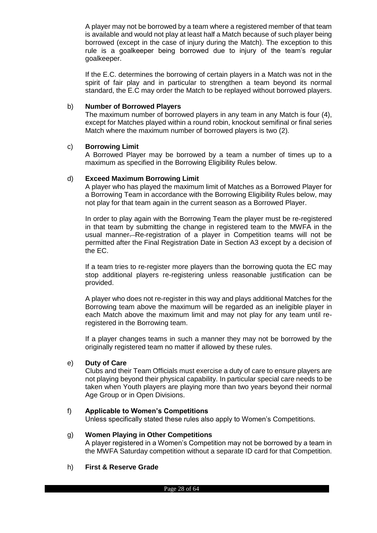A player may not be borrowed by a team where a registered member of that team is available and would not play at least half a Match because of such player being borrowed (except in the case of injury during the Match). The exception to this rule is a goalkeeper being borrowed due to injury of the team's regular goalkeeper.

If the E.C. determines the borrowing of certain players in a Match was not in the spirit of fair play and in particular to strengthen a team beyond its normal standard, the E.C may order the Match to be replayed without borrowed players.

#### b) **Number of Borrowed Players**

The maximum number of borrowed players in any team in any Match is four (4), except for Matches played within a round robin, knockout semifinal or final series Match where the maximum number of borrowed players is two (2).

## c) **Borrowing Limit**

A Borrowed Player may be borrowed by a team a number of times up to a maximum as specified in the Borrowing Eligibility Rules below.

## d) **Exceed Maximum Borrowing Limit**

A player who has played the maximum limit of Matches as a Borrowed Player for a Borrowing Team in accordance with the Borrowing Eligibility Rules below, may not play for that team again in the current season as a Borrowed Player.

In order to play again with the Borrowing Team the player must be re-registered in that team by submitting the change in registered team to the MWFA in the usual manner. Re-registration of a player in Competition teams will not be permitted after the Final Registration Date in Section A3 except by a decision of the EC.

If a team tries to re-register more players than the borrowing quota the EC may stop additional players re-registering unless reasonable justification can be provided.

A player who does not re-register in this way and plays additional Matches for the Borrowing team above the maximum will be regarded as an ineligible player in each Match above the maximum limit and may not play for any team until reregistered in the Borrowing team.

If a player changes teams in such a manner they may not be borrowed by the originally registered team no matter if allowed by these rules.

#### e) **Duty of Care**

Clubs and their Team Officials must exercise a duty of care to ensure players are not playing beyond their physical capability. In particular special care needs to be taken when Youth players are playing more than two years beyond their normal Age Group or in Open Divisions.

#### f) **Applicable to Women's Competitions**

Unless specifically stated these rules also apply to Women's Competitions.

#### g) **Women Playing in Other Competitions**

A player registered in a Women's Competition may not be borrowed by a team in the MWFA Saturday competition without a separate ID card for that Competition.

#### h) **First & Reserve Grade**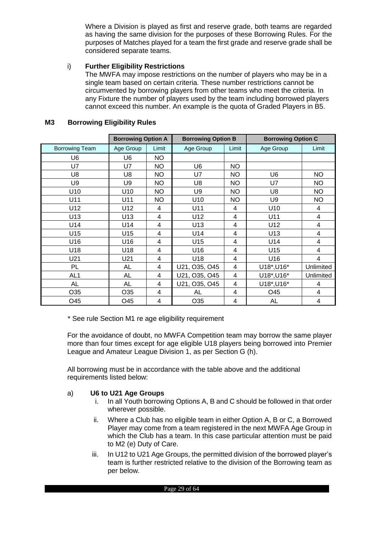Where a Division is played as first and reserve grade, both teams are regarded as having the same division for the purposes of these Borrowing Rules. For the purposes of Matches played for a team the first grade and reserve grade shall be considered separate teams.

#### i) **Further Eligibility Restrictions**

The MWFA may impose restrictions on the number of players who may be in a single team based on certain criteria. These number restrictions cannot be circumvented by borrowing players from other teams who meet the criteria. In any Fixture the number of players used by the team including borrowed players cannot exceed this number. An example is the quota of Graded Players in B5.

|                       | <b>Borrowing Option A</b> |           | <b>Borrowing Option B</b> |           | <b>Borrowing Option C</b> |           |
|-----------------------|---------------------------|-----------|---------------------------|-----------|---------------------------|-----------|
| <b>Borrowing Team</b> | Age Group                 | Limit     | Age Group                 | Limit     | Age Group                 | Limit     |
| U6                    | U6                        | NO.       |                           |           |                           |           |
| <b>U7</b>             | <b>U7</b>                 | <b>NO</b> | U <sub>6</sub>            | <b>NO</b> |                           |           |
| U8                    | U8                        | NO.       | U7                        | NO.       | U6                        | NO.       |
| U9                    | U9                        | <b>NO</b> | U <sub>8</sub>            | <b>NO</b> | U7                        | <b>NO</b> |
| U10                   | U10                       | NO.       | U9                        | NO.       | U8                        | <b>NO</b> |
| U11                   | U11                       | NO.       | U <sub>10</sub>           | NO.       | U <sub>9</sub>            | <b>NO</b> |
| U12                   | U12                       | 4         | U11                       | 4         | U10                       | 4         |
| U13                   | U13                       | 4         | U12                       | 4         | U11                       | 4         |
| U14                   | U14                       | 4         | U13                       | 4         | U12                       | 4         |
| U15                   | U15                       | 4         | U14                       | 4         | U13                       | 4         |
| U16                   | U16                       | 4         | U15                       | 4         | U14                       | 4         |
| U18                   | U18                       | 4         | U16                       | 4         | U15                       | 4         |
| U21                   | U21                       | 4         | U18                       | 4         | U16                       | 4         |
| PL                    | AL                        | 4         | U21, O35, O45             | 4         | U18*, U16*                | Unlimited |
| AL <sub>1</sub>       | AL                        | 4         | U21, O35, O45             | 4         | U18*, U16*                | Unlimited |
| <b>AL</b>             | <b>AL</b>                 | 4         | U21, O35, O45             | 4         | U18*, U16*                | 4         |
| O35                   | O <sub>35</sub>           | 4         | AL                        | 4         | O45                       | 4         |
| O45                   | O45                       | 4         | O35                       | 4         | <b>AL</b>                 | 4         |

#### <span id="page-28-0"></span>**M3 Borrowing Eligibility Rules**

\* See rule Section M1 re age eligibility requirement

For the avoidance of doubt, no MWFA Competition team may borrow the same player more than four times except for age eligible U18 players being borrowed into Premier League and Amateur League Division 1, as per Section G (h).

All borrowing must be in accordance with the table above and the additional requirements listed below:

#### a) **U6 to U21 Age Groups**

- i. In all Youth borrowing Options A, B and C should be followed in that order wherever possible.
- ii. Where a Club has no eligible team in either Option A, B or C, a Borrowed Player may come from a team registered in the next MWFA Age Group in which the Club has a team. In this case particular attention must be paid to M2 (e) Duty of Care.
- iii. In U12 to U21 Age Groups, the permitted division of the borrowed player's team is further restricted relative to the division of the Borrowing team as per below.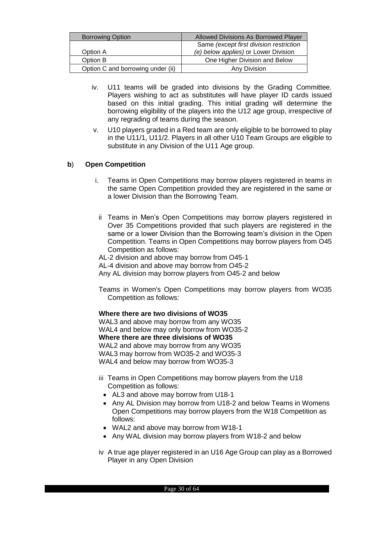| <b>Borrowing Option</b>           | Allowed Divisions As Borrowed Player    |  |  |  |
|-----------------------------------|-----------------------------------------|--|--|--|
|                                   | Same (except first division restriction |  |  |  |
| Option A                          | (e) below applies) or Lower Division    |  |  |  |
| Option B                          | One Higher Division and Below           |  |  |  |
| Option C and borrowing under (ii) | Any Division                            |  |  |  |

- iv. U11 teams will be graded into divisions by the Grading Committee. Players wishing to act as substitutes will have player ID cards issued based on this initial grading. This initial grading will determine the borrowing eligibility of the players into the U12 age group, irrespective of any regrading of teams during the season.
- v. U10 players graded in a Red team are only eligible to be borrowed to play in the U11/1, U11/2. Players in all other U10 Team Groups are eligible to substitute in any Division of the U11 Age group.

## **b**) **Open Competition**

- i. Teams in Open Competitions may borrow players registered in teams in the same Open Competition provided they are registered in the same or a lower Division than the Borrowing Team.
- ii Teams in Men's Open Competitions may borrow players registered in Over 35 Competitions provided that such players are registered in the same or a lower Division than the Borrowing team's division in the Open Competition. Teams in Open Competitions may borrow players from O45 Competition as follows:

AL-2 division and above may borrow from O45-1 AL-4 division and above may borrow from O45-2 Any AL division may borrow players from O45-2 and below

Teams in Women's Open Competitions may borrow players from WO35 Competition as follows:

#### **Where there are two divisions of WO35**

WAL3 and above may borrow from any WO35 WAL4 and below may only borrow from WO35-2 **Where there are three divisions of WO35** WAL2 and above may borrow from any WO35 WAL3 may borrow from WO35-2 and WO35-3 WAL4 and below may borrow from WO35-3

- iii Teams in Open Competitions may borrow players from the U18 Competition as follows:
	- AL3 and above may borrow from U18-1
	- Any AL Division may borrow from U18-2 and below Teams in Womens Open Competitions may borrow players from the W18 Competition as follows:
	- WAL2 and above may borrow from W18-1
	- Any WAL division may borrow players from W18-2 and below
- iv A true age player registered in an U16 Age Group can play as a Borrowed Player in any Open Division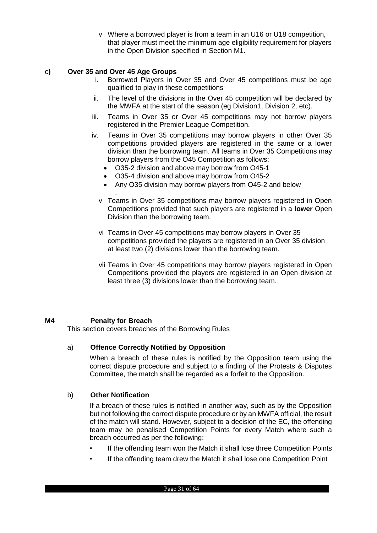v Where a borrowed player is from a team in an U16 or U18 competition, that player must meet the minimum age eligibility requirement for players in the Open Division specified in Section M1.

## c**) Over 35 and Over 45 Age Groups**

- i. Borrowed Players in Over 35 and Over 45 competitions must be age qualified to play in these competitions
- ii. The level of the divisions in the Over 45 competition will be declared by the MWFA at the start of the season (eg Division1, Division 2, etc).
- iii. Teams in Over 35 or Over 45 competitions may not borrow players registered in the Premier League Competition.
- iv. Teams in Over 35 competitions may borrow players in other Over 35 competitions provided players are registered in the same or a lower division than the borrowing team. All teams in Over 35 Competitions may borrow players from the O45 Competition as follows:
	- O35-2 division and above may borrow from O45-1
	- O35-4 division and above may borrow from O45-2
	- Any O35 division may borrow players from O45-2 and below
	- . v Teams in Over 35 competitions may borrow players registered in Open Competitions provided that such players are registered in a **lower** Open Division than the borrowing team.
	- vi Teams in Over 45 competitions may borrow players in Over 35 competitions provided the players are registered in an Over 35 division at least two (2) divisions lower than the borrowing team.
	- vii Teams in Over 45 competitions may borrow players registered in Open Competitions provided the players are registered in an Open division at least three (3) divisions lower than the borrowing team.

#### <span id="page-30-0"></span>**M4 Penalty for Breach**

This section covers breaches of the Borrowing Rules

#### a) **Offence Correctly Notified by Opposition**

When a breach of these rules is notified by the Opposition team using the correct dispute procedure and subject to a finding of the Protests & Disputes Committee, the match shall be regarded as a forfeit to the Opposition.

#### b) **Other Notification**

If a breach of these rules is notified in another way, such as by the Opposition but not following the correct dispute procedure or by an MWFA official, the result of the match will stand. However, subject to a decision of the EC, the offending team may be penalised Competition Points for every Match where such a breach occurred as per the following:

- If the offending team won the Match it shall lose three Competition Points
- If the offending team drew the Match it shall lose one Competition Point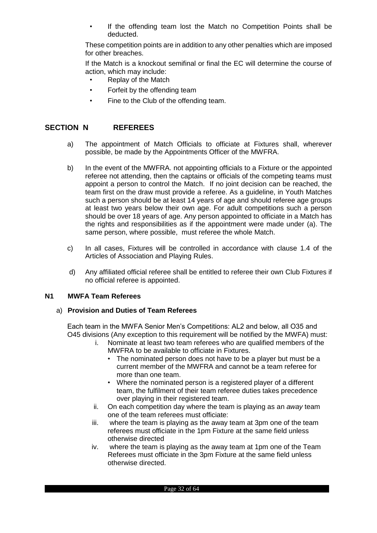If the offending team lost the Match no Competition Points shall be deducted.

These competition points are in addition to any other penalties which are imposed for other breaches.

If the Match is a knockout semifinal or final the EC will determine the course of action, which may include:

- Replay of the Match
- Forfeit by the offending team
- Fine to the Club of the offending team.

## <span id="page-31-0"></span>**SECTION N REFEREES**

- a) The appointment of Match Officials to officiate at Fixtures shall, wherever possible, be made by the Appointments Officer of the MWFRA.
- b) In the event of the MWFRA. not appointing officials to a Fixture or the appointed referee not attending, then the captains or officials of the competing teams must appoint a person to control the Match. If no joint decision can be reached, the team first on the draw must provide a referee. As a guideline, in Youth Matches such a person should be at least 14 years of age and should referee age groups at least two years below their own age. For adult competitions such a person should be over 18 years of age. Any person appointed to officiate in a Match has the rights and responsibilities as if the appointment were made under (a). The same person, where possible, must referee the whole Match.
- c) In all cases, Fixtures will be controlled in accordance with clause 1.4 of the Articles of Association and Playing Rules.
- d) Any affiliated official referee shall be entitled to referee their own Club Fixtures if no official referee is appointed.

#### <span id="page-31-1"></span>**N1 MWFA Team Referees**

#### a) **Provision and Duties of Team Referees**

Each team in the MWFA Senior Men's Competitions: AL2 and below, all O35 and O45 divisions (Any exception to this requirement will be notified by the MWFA) must:

- i. Nominate at least two team referees who are qualified members of the MWFRA to be available to officiate in Fixtures.
	- The nominated person does not have to be a player but must be a current member of the MWFRA and cannot be a team referee for more than one team.
	- Where the nominated person is a registered player of a different team, the fulfilment of their team referee duties takes precedence over playing in their registered team.
- ii. On each competition day where the team is playing as an *away* team one of the team referees must officiate:
- iii. where the team is playing as the away team at 3pm one of the team referees must officiate in the 1pm Fixture at the same field unless otherwise directed
- iv. where the team is playing as the away team at 1pm one of the Team Referees must officiate in the 3pm Fixture at the same field unless otherwise directed.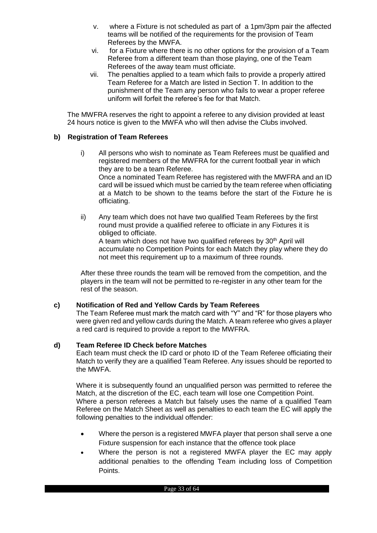- v. where a Fixture is not scheduled as part of a 1pm/3pm pair the affected teams will be notified of the requirements for the provision of Team Referees by the MWFA.
- vi. for a Fixture where there is no other options for the provision of a Team Referee from a different team than those playing, one of the Team Referees of the away team must officiate.
- vii. The penalties applied to a team which fails to provide a properly attired Team Referee for a Match are listed in Section T. In addition to the punishment of the Team any person who fails to wear a proper referee uniform will forfeit the referee's fee for that Match.

The MWFRA reserves the right to appoint a referee to any division provided at least 24 hours notice is given to the MWFA who will then advise the Clubs involved.

## **b) Registration of Team Referees**

- i) All persons who wish to nominate as Team Referees must be qualified and registered members of the MWFRA for the current football year in which they are to be a team Referee. Once a nominated Team Referee has registered with the MWFRA and an ID card will be issued which must be carried by the team referee when officiating at a Match to be shown to the teams before the start of the Fixture he is officiating.
- ii) Any team which does not have two qualified Team Referees by the first round must provide a qualified referee to officiate in any Fixtures it is obliged to officiate.

A team which does not have two qualified referees by 30<sup>th</sup> April will accumulate no Competition Points for each Match they play where they do not meet this requirement up to a maximum of three rounds.

After these three rounds the team will be removed from the competition, and the players in the team will not be permitted to re-register in any other team for the rest of the season.

#### **c) Notification of Red and Yellow Cards by Team Referees**

The Team Referee must mark the match card with "Y" and "R" for those players who were given red and yellow cards during the Match. A team referee who gives a player a red card is required to provide a report to the MWFRA.

#### **d) Team Referee ID Check before Matches**

Each team must check the ID card or photo ID of the Team Referee officiating their Match to verify they are a qualified Team Referee. Any issues should be reported to the MWFA.

Where it is subsequently found an unqualified person was permitted to referee the Match, at the discretion of the EC, each team will lose one Competition Point. Where a person referees a Match but falsely uses the name of a qualified Team Referee on the Match Sheet as well as penalties to each team the EC will apply the following penalties to the individual offender:

- Where the person is a registered MWFA player that person shall serve a one Fixture suspension for each instance that the offence took place
- Where the person is not a registered MWFA player the EC may apply additional penalties to the offending Team including loss of Competition Points.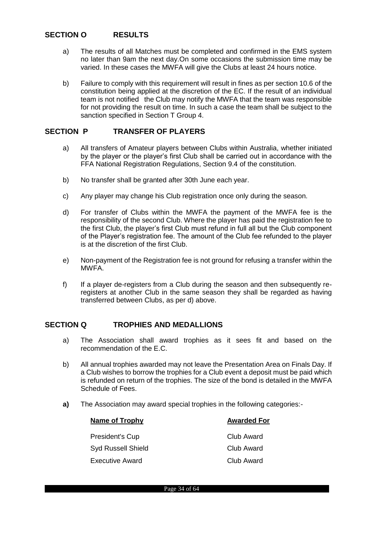## <span id="page-33-0"></span>**SECTION O RESULTS**

- a) The results of all Matches must be completed and confirmed in the EMS system no later than 9am the next day.On some occasions the submission time may be varied. In these cases the MWFA will give the Clubs at least 24 hours notice.
- b) Failure to comply with this requirement will result in fines as per section 10.6 of the constitution being applied at the discretion of the EC. If the result of an individual team is not notified the Club may notify the MWFA that the team was responsible for not providing the result on time. In such a case the team shall be subject to the sanction specified in Section T Group 4.

#### <span id="page-33-1"></span>**SECTION P TRANSFER OF PLAYERS**

- a) All transfers of Amateur players between Clubs within Australia, whether initiated by the player or the player's first Club shall be carried out in accordance with the FFA National Registration Regulations, Section 9.4 of the constitution.
- b) No transfer shall be granted after 30th June each year.
- c) Any player may change his Club registration once only during the season.
- d) For transfer of Clubs within the MWFA the payment of the MWFA fee is the responsibility of the second Club. Where the player has paid the registration fee to the first Club, the player's first Club must refund in full all but the Club component of the Player's registration fee. The amount of the Club fee refunded to the player is at the discretion of the first Club.
- e) Non-payment of the Registration fee is not ground for refusing a transfer within the MWFA.
- f) If a player de-registers from a Club during the season and then subsequently reregisters at another Club in the same season they shall be regarded as having transferred between Clubs, as per d) above.

## <span id="page-33-2"></span>**SECTION Q TROPHIES AND MEDALLIONS**

- a) The Association shall award trophies as it sees fit and based on the recommendation of the E.C.
- b) All annual trophies awarded may not leave the Presentation Area on Finals Day. If a Club wishes to borrow the trophies for a Club event a deposit must be paid which is refunded on return of the trophies. The size of the bond is detailed in the MWFA Schedule of Fees.
- **a)** The Association may award special trophies in the following categories:-

| Name of Trophy            | <b>Awarded For</b> |
|---------------------------|--------------------|
|                           |                    |
| President's Cup           | Club Award         |
| <b>Syd Russell Shield</b> | Club Award         |
| <b>Executive Award</b>    | Club Award         |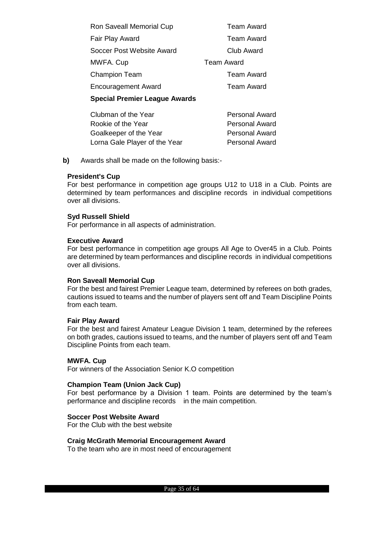| <b>Ron Saveall Memorial Cup</b>      | <b>Team Award</b> |
|--------------------------------------|-------------------|
| Fair Play Award                      | <b>Team Award</b> |
| Soccer Post Website Award            | Club Award        |
| MWFA. Cup                            | <b>Team Award</b> |
| <b>Champion Team</b>                 | <b>Team Award</b> |
| <b>Encouragement Award</b>           | <b>Team Award</b> |
| <b>Special Premier League Awards</b> |                   |
|                                      |                   |

| Clubman of the Year           | <b>Personal Award</b> |
|-------------------------------|-----------------------|
| Rookie of the Year            | <b>Personal Award</b> |
| Goalkeeper of the Year        | <b>Personal Award</b> |
| Lorna Gale Player of the Year | <b>Personal Award</b> |

**b)** Awards shall be made on the following basis:-

#### **President's Cup**

For best performance in competition age groups U12 to U18 in a Club. Points are determined by team performances and discipline records in individual competitions over all divisions.

#### **Syd Russell Shield**

For performance in all aspects of administration.

#### **Executive Award**

For best performance in competition age groups All Age to Over45 in a Club. Points are determined by team performances and discipline records in individual competitions over all divisions.

#### **Ron Saveall Memorial Cup**

For the best and fairest Premier League team, determined by referees on both grades, cautions issued to teams and the number of players sent off and Team Discipline Points from each team.

#### **Fair Play Award**

For the best and fairest Amateur League Division 1 team, determined by the referees on both grades, cautions issued to teams, and the number of players sent off and Team Discipline Points from each team.

#### **MWFA. Cup**

For winners of the Association Senior K.O competition

#### **Champion Team (Union Jack Cup)**

For best performance by a Division 1 team. Points are determined by the team's performance and discipline records in the main competition.

#### **Soccer Post Website Award**

For the Club with the best website

#### **Craig McGrath Memorial Encouragement Award**

To the team who are in most need of encouragement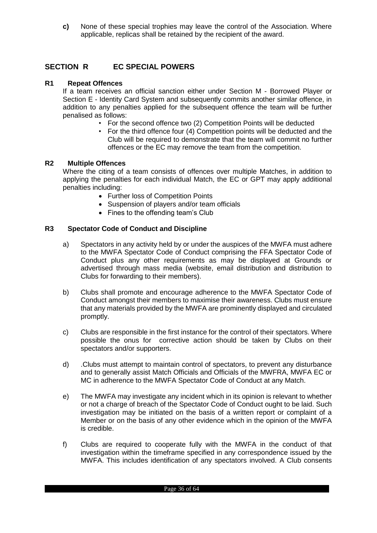**c)** None of these special trophies may leave the control of the Association. Where applicable, replicas shall be retained by the recipient of the award.

## <span id="page-35-0"></span>**SECTION R EC SPECIAL POWERS**

#### <span id="page-35-1"></span>**R1 Repeat Offences**

If a team receives an official sanction either under Section M - Borrowed Player or Section E - Identity Card System and subsequently commits another similar offence, in addition to any penalties applied for the subsequent offence the team will be further penalised as follows:

- For the second offence two (2) Competition Points will be deducted
- For the third offence four (4) Competition points will be deducted and the Club will be required to demonstrate that the team will commit no further offences or the EC may remove the team from the competition.

#### <span id="page-35-2"></span>**R2 Multiple Offences**

Where the citing of a team consists of offences over multiple Matches, in addition to applying the penalties for each individual Match, the EC or GPT may apply additional penalties including:

- Further loss of Competition Points
- Suspension of players and/or team officials
- Fines to the offending team's Club

#### <span id="page-35-3"></span>**R3 Spectator Code of Conduct and Discipline**

- a) Spectators in any activity held by or under the auspices of the MWFA must adhere to the MWFA Spectator Code of Conduct comprising the FFA Spectator Code of Conduct plus any other requirements as may be displayed at Grounds or advertised through mass media (website, email distribution and distribution to Clubs for forwarding to their members).
- b) Clubs shall promote and encourage adherence to the MWFA Spectator Code of Conduct amongst their members to maximise their awareness. Clubs must ensure that any materials provided by the MWFA are prominently displayed and circulated promptly.
- c) Clubs are responsible in the first instance for the control of their spectators. Where possible the onus for corrective action should be taken by Clubs on their spectators and/or supporters.
- d) .Clubs must attempt to maintain control of spectators, to prevent any disturbance and to generally assist Match Officials and Officials of the MWFRA, MWFA EC or MC in adherence to the MWFA Spectator Code of Conduct at any Match.
- e) The MWFA may investigate any incident which in its opinion is relevant to whether or not a charge of breach of the Spectator Code of Conduct ought to be laid. Such investigation may be initiated on the basis of a written report or complaint of a Member or on the basis of any other evidence which in the opinion of the MWFA is credible.
- f) Clubs are required to cooperate fully with the MWFA in the conduct of that investigation within the timeframe specified in any correspondence issued by the MWFA. This includes identification of any spectators involved. A Club consents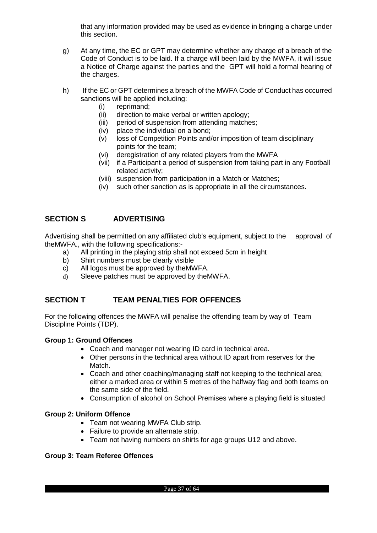that any information provided may be used as evidence in bringing a charge under this section.

- g) At any time, the EC or GPT may determine whether any charge of a breach of the Code of Conduct is to be laid. If a charge will been laid by the MWFA, it will issue a Notice of Charge against the parties and the GPT will hold a formal hearing of the charges.
- h) If the EC or GPT determines a breach of the MWFA Code of Conduct has occurred sanctions will be applied including:
	- (i) reprimand;
	- (ii) direction to make verbal or written apology;
	- (iii) period of suspension from attending matches;
	- (iv) place the individual on a bond;
	- (v) loss of Competition Points and/or imposition of team disciplinary points for the team;
	- (vi) deregistration of any related players from the MWFA
	- (vii) if a Participant a period of suspension from taking part in any Football related activity;
	- (viii) suspension from participation in a Match or Matches;
	- (iv) such other sanction as is appropriate in all the circumstances.

## <span id="page-36-0"></span>**SECTION S ADVERTISING**

Advertising shall be permitted on any affiliated club's equipment, subject to the approval of theMWFA., with the following specifications:-

- a) All printing in the playing strip shall not exceed 5cm in height
- b) Shirt numbers must be clearly visible
- c) All logos must be approved by theMWFA.
- d) Sleeve patches must be approved by theMWFA.

## <span id="page-36-1"></span>**SECTION T TEAM PENALTIES FOR OFFENCES**

For the following offences the MWFA will penalise the offending team by way of Team Discipline Points (TDP).

#### **Group 1: Ground Offences**

- Coach and manager not wearing ID card in technical area.
- Other persons in the technical area without ID apart from reserves for the Match.
- Coach and other coaching/managing staff not keeping to the technical area; either a marked area or within 5 metres of the halfway flag and both teams on the same side of the field.
- Consumption of alcohol on School Premises where a playing field is situated

#### **Group 2: Uniform Offence**

- Team not wearing MWFA Club strip.
- Failure to provide an alternate strip.
- Team not having numbers on shirts for age groups U12 and above.

## **Group 3: Team Referee Offences**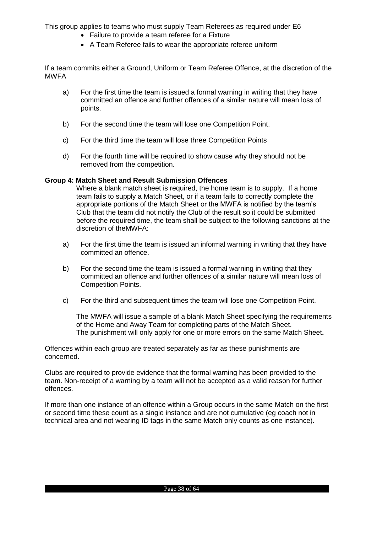This group applies to teams who must supply Team Referees as required under E6

- Failure to provide a team referee for a Fixture
- A Team Referee fails to wear the appropriate referee uniform

If a team commits either a Ground, Uniform or Team Referee Offence, at the discretion of the MWFA

- a) For the first time the team is issued a formal warning in writing that they have committed an offence and further offences of a similar nature will mean loss of points.
- b) For the second time the team will lose one Competition Point.
- c) For the third time the team will lose three Competition Points
- d) For the fourth time will be required to show cause why they should not be removed from the competition.

#### **Group 4: Match Sheet and Result Submission Offences**

Where a blank match sheet is required, the home team is to supply. If a home team fails to supply a Match Sheet, or if a team fails to correctly complete the appropriate portions of the Match Sheet or the MWFA is notified by the team's Club that the team did not notify the Club of the result so it could be submitted before the required time, the team shall be subject to the following sanctions at the discretion of theMWFA:

- a) For the first time the team is issued an informal warning in writing that they have committed an offence.
- b) For the second time the team is issued a formal warning in writing that they committed an offence and further offences of a similar nature will mean loss of Competition Points.
- c) For the third and subsequent times the team will lose one Competition Point.

The MWFA will issue a sample of a blank Match Sheet specifying the requirements of the Home and Away Team for completing parts of the Match Sheet. The punishment will only apply for one or more errors on the same Match Sheet**.**

Offences within each group are treated separately as far as these punishments are concerned.

Clubs are required to provide evidence that the formal warning has been provided to the team. Non-receipt of a warning by a team will not be accepted as a valid reason for further offences.

If more than one instance of an offence within a Group occurs in the same Match on the first or second time these count as a single instance and are not cumulative (eg coach not in technical area and not wearing ID tags in the same Match only counts as one instance).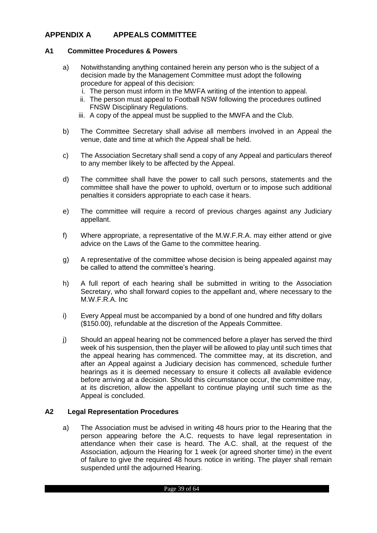## <span id="page-38-0"></span>**APPENDIX A APPEALS COMMITTEE**

#### <span id="page-38-1"></span>**A1 Committee Procedures & Powers**

- a) Notwithstanding anything contained herein any person who is the subject of a decision made by the Management Committee must adopt the following procedure for appeal of this decision:
	- i. The person must inform in the MWFA writing of the intention to appeal.
	- ii. The person must appeal to Football NSW following the procedures outlined FNSW Disciplinary Regulations.
	- iii. A copy of the appeal must be supplied to the MWFA and the Club.
- b) The Committee Secretary shall advise all members involved in an Appeal the venue, date and time at which the Appeal shall be held.
- c) The Association Secretary shall send a copy of any Appeal and particulars thereof to any member likely to be affected by the Appeal.
- d) The committee shall have the power to call such persons, statements and the committee shall have the power to uphold, overturn or to impose such additional penalties it considers appropriate to each case it hears.
- e) The committee will require a record of previous charges against any Judiciary appellant.
- f) Where appropriate, a representative of the M.W.F.R.A. may either attend or give advice on the Laws of the Game to the committee hearing.
- g) A representative of the committee whose decision is being appealed against may be called to attend the committee's hearing.
- h) A full report of each hearing shall be submitted in writing to the Association Secretary, who shall forward copies to the appellant and, where necessary to the M.W.F.R.A. Inc
- i) Every Appeal must be accompanied by a bond of one hundred and fifty dollars (\$150.00), refundable at the discretion of the Appeals Committee.
- j) Should an appeal hearing not be commenced before a player has served the third week of his suspension, then the player will be allowed to play until such times that the appeal hearing has commenced. The committee may, at its discretion, and after an Appeal against a Judiciary decision has commenced, schedule further hearings as it is deemed necessary to ensure it collects all available evidence before arriving at a decision. Should this circumstance occur, the committee may, at its discretion, allow the appellant to continue playing until such time as the Appeal is concluded.

#### <span id="page-38-2"></span>**A2 Legal Representation Procedures**

a) The Association must be advised in writing 48 hours prior to the Hearing that the person appearing before the A.C. requests to have legal representation in attendance when their case is heard. The A.C. shall, at the request of the Association, adjourn the Hearing for 1 week (or agreed shorter time) in the event of failure to give the required 48 hours notice in writing. The player shall remain suspended until the adjourned Hearing.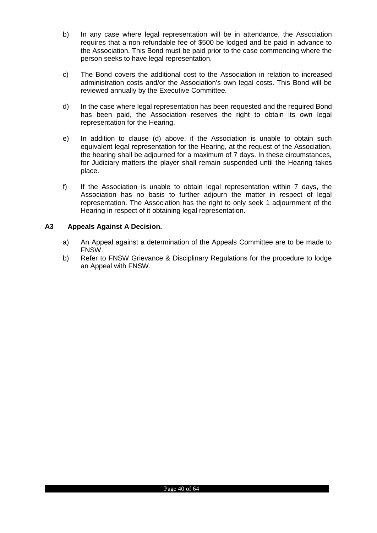- b) In any case where legal representation will be in attendance, the Association requires that a non-refundable fee of \$500 be lodged and be paid in advance to the Association. This Bond must be paid prior to the case commencing where the person seeks to have legal representation.
- c) The Bond covers the additional cost to the Association in relation to increased administration costs and/or the Association's own legal costs. This Bond will be reviewed annually by the Executive Committee.
- d) In the case where legal representation has been requested and the required Bond has been paid, the Association reserves the right to obtain its own legal representation for the Hearing.
- e) In addition to clause (d) above, if the Association is unable to obtain such equivalent legal representation for the Hearing, at the request of the Association, the hearing shall be adjourned for a maximum of 7 days. In these circumstances, for Judiciary matters the player shall remain suspended until the Hearing takes place.
- f) If the Association is unable to obtain legal representation within 7 days, the Association has no basis to further adjourn the matter in respect of legal representation. The Association has the right to only seek 1 adjournment of the Hearing in respect of it obtaining legal representation.

## **A3 Appeals Against A Decision.**

- a) An Appeal against a determination of the Appeals Committee are to be made to FNSW.
- b) Refer to FNSW Grievance & Disciplinary Regulations for the procedure to lodge an Appeal with FNSW.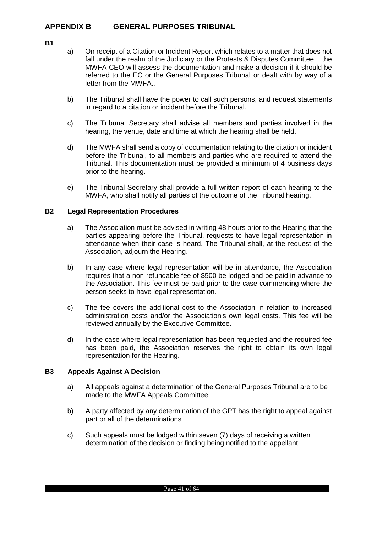## <span id="page-40-0"></span>**APPENDIX B GENERAL PURPOSES TRIBUNAL**

- <span id="page-40-1"></span>**B1**
- a) On receipt of a Citation or Incident Report which relates to a matter that does not fall under the realm of the Judiciary or the Protests & Disputes Committee the MWFA CEO will assess the documentation and make a decision if it should be referred to the EC or the General Purposes Tribunal or dealt with by way of a letter from the MWFA..
- b) The Tribunal shall have the power to call such persons, and request statements in regard to a citation or incident before the Tribunal.
- c) The Tribunal Secretary shall advise all members and parties involved in the hearing, the venue, date and time at which the hearing shall be held.
- d) The MWFA shall send a copy of documentation relating to the citation or incident before the Tribunal, to all members and parties who are required to attend the Tribunal. This documentation must be provided a minimum of 4 business days prior to the hearing.
- e) The Tribunal Secretary shall provide a full written report of each hearing to the MWFA, who shall notify all parties of the outcome of the Tribunal hearing.

## <span id="page-40-2"></span>**B2 Legal Representation Procedures**

- a) The Association must be advised in writing 48 hours prior to the Hearing that the parties appearing before the Tribunal. requests to have legal representation in attendance when their case is heard. The Tribunal shall, at the request of the Association, adjourn the Hearing.
- b) In any case where legal representation will be in attendance, the Association requires that a non-refundable fee of \$500 be lodged and be paid in advance to the Association. This fee must be paid prior to the case commencing where the person seeks to have legal representation.
- c) The fee covers the additional cost to the Association in relation to increased administration costs and/or the Association's own legal costs. This fee will be reviewed annually by the Executive Committee.
- d) In the case where legal representation has been requested and the required fee has been paid, the Association reserves the right to obtain its own legal representation for the Hearing.

#### **B3 Appeals Against A Decision**

- a) All appeals against a determination of the General Purposes Tribunal are to be made to the MWFA Appeals Committee.
- b) A party affected by any determination of the GPT has the right to appeal against part or all of the determinations
- c) Such appeals must be lodged within seven (7) days of receiving a written determination of the decision or finding being notified to the appellant.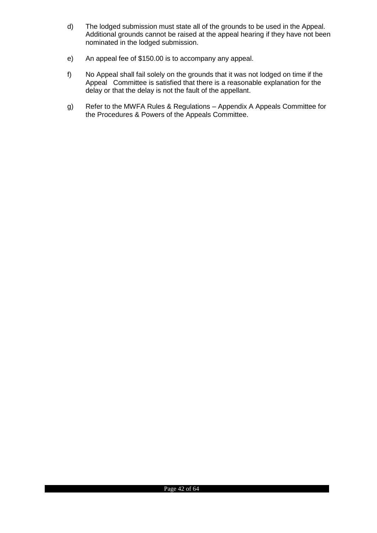- d) The lodged submission must state all of the grounds to be used in the Appeal. Additional grounds cannot be raised at the appeal hearing if they have not been nominated in the lodged submission.
- e) An appeal fee of \$150.00 is to accompany any appeal.
- f) No Appeal shall fail solely on the grounds that it was not lodged on time if the Appeal Committee is satisfied that there is a reasonable explanation for the delay or that the delay is not the fault of the appellant.
- g) Refer to the MWFA Rules & Regulations Appendix A Appeals Committee for the Procedures & Powers of the Appeals Committee.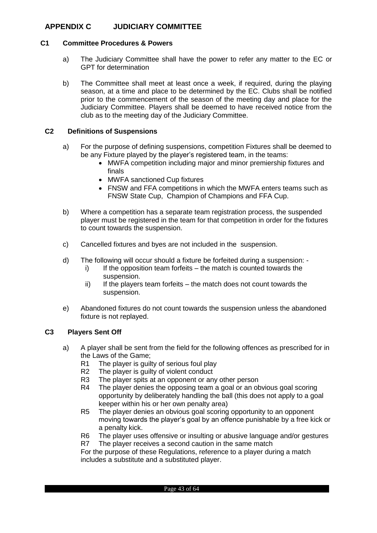## <span id="page-42-0"></span>**APPENDIX C JUDICIARY COMMITTEE**

#### <span id="page-42-1"></span>**C1 Committee Procedures & Powers**

- a) The Judiciary Committee shall have the power to refer any matter to the EC or GPT for determination
- b) The Committee shall meet at least once a week, if required, during the playing season, at a time and place to be determined by the EC. Clubs shall be notified prior to the commencement of the season of the meeting day and place for the Judiciary Committee. Players shall be deemed to have received notice from the club as to the meeting day of the Judiciary Committee.

#### <span id="page-42-2"></span>**C2 Definitions of Suspensions**

- a) For the purpose of defining suspensions, competition Fixtures shall be deemed to be any Fixture played by the player's registered team, in the teams:
	- MWFA competition including major and minor premiership fixtures and finals
	- MWFA sanctioned Cup fixtures
	- FNSW and FFA competitions in which the MWFA enters teams such as FNSW State Cup, Champion of Champions and FFA Cup.
- b) Where a competition has a separate team registration process, the suspended player must be registered in the team for that competition in order for the fixtures to count towards the suspension.
- c) Cancelled fixtures and byes are not included in the suspension.
- d) The following will occur should a fixture be forfeited during a suspension:
	- $i)$  If the opposition team forfeits the match is counted towards the suspension.
	- $ii)$  If the players team forfeits the match does not count towards the suspension.
- e) Abandoned fixtures do not count towards the suspension unless the abandoned fixture is not replayed.

#### <span id="page-42-3"></span>**C3 Players Sent Off**

- a) A player shall be sent from the field for the following offences as prescribed for in the Laws of the Game;
	- R1 The player is guilty of serious foul play
	- R2 The player is guilty of violent conduct
	- R3 The player spits at an opponent or any other person
	- R4 The player denies the opposing team a goal or an obvious goal scoring opportunity by deliberately handling the ball (this does not apply to a goal keeper within his or her own penalty area)
	- R5 The player denies an obvious goal scoring opportunity to an opponent moving towards the player's goal by an offence punishable by a free kick or a penalty kick.
	- R6 The player uses offensive or insulting or abusive language and/or gestures
	- R7 The player receives a second caution in the same match

For the purpose of these Regulations, reference to a player during a match includes a substitute and a substituted player.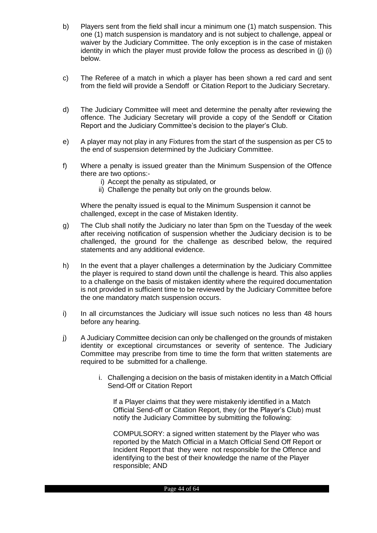- b) Players sent from the field shall incur a minimum one (1) match suspension. This one (1) match suspension is mandatory and is not subject to challenge, appeal or waiver by the Judiciary Committee. The only exception is in the case of mistaken identity in which the player must provide follow the process as described in (j) (i) below.
- c) The Referee of a match in which a player has been shown a red card and sent from the field will provide a Sendoff or Citation Report to the Judiciary Secretary.
- d) The Judiciary Committee will meet and determine the penalty after reviewing the offence. The Judiciary Secretary will provide a copy of the Sendoff or Citation Report and the Judiciary Committee's decision to the player's Club.
- e) A player may not play in any Fixtures from the start of the suspension as per C5 to the end of suspension determined by the Judiciary Committee.
- f) Where a penalty is issued greater than the Minimum Suspension of the Offence there are two options:
	- i) Accept the penalty as stipulated, or
	- ii) Challenge the penalty but only on the grounds below.

Where the penalty issued is equal to the Minimum Suspension it cannot be challenged, except in the case of Mistaken Identity.

- g) The Club shall notify the Judiciary no later than 5pm on the Tuesday of the week after receiving notification of suspension whether the Judiciary decision is to be challenged, the ground for the challenge as described below, the required statements and any additional evidence.
- h) In the event that a player challenges a determination by the Judiciary Committee the player is required to stand down until the challenge is heard. This also applies to a challenge on the basis of mistaken identity where the required documentation is not provided in sufficient time to be reviewed by the Judiciary Committee before the one mandatory match suspension occurs.
- i) In all circumstances the Judiciary will issue such notices no less than 48 hours before any hearing.
- j) A Judiciary Committee decision can only be challenged on the grounds of mistaken identity or exceptional circumstances or severity of sentence. The Judiciary Committee may prescribe from time to time the form that written statements are required to be submitted for a challenge.
	- i. Challenging a decision on the basis of mistaken identity in a Match Official Send-Off or Citation Report

If a Player claims that they were mistakenly identified in a Match Official Send-off or Citation Report, they (or the Player's Club) must notify the Judiciary Committee by submitting the following:

COMPULSORY: a signed written statement by the Player who was reported by the Match Official in a Match Official Send Off Report or Incident Report that they were not responsible for the Offence and identifying to the best of their knowledge the name of the Player responsible; AND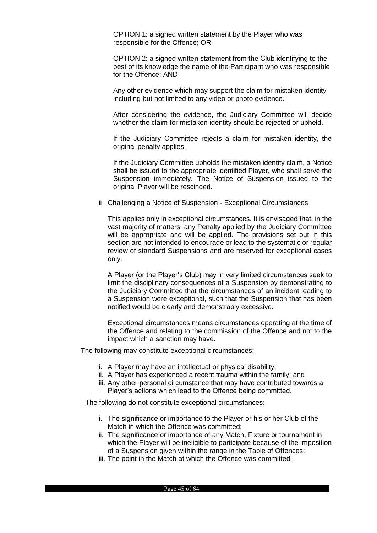OPTION 1: a signed written statement by the Player who was responsible for the Offence; OR

OPTION 2: a signed written statement from the Club identifying to the best of its knowledge the name of the Participant who was responsible for the Offence; AND

Any other evidence which may support the claim for mistaken identity including but not limited to any video or photo evidence.

After considering the evidence, the Judiciary Committee will decide whether the claim for mistaken identity should be rejected or upheld.

If the Judiciary Committee rejects a claim for mistaken identity, the original penalty applies.

If the Judiciary Committee upholds the mistaken identity claim, a Notice shall be issued to the appropriate identified Player, who shall serve the Suspension immediately. The Notice of Suspension issued to the original Player will be rescinded.

ii Challenging a Notice of Suspension - Exceptional Circumstances

This applies only in exceptional circumstances. It is envisaged that, in the vast majority of matters, any Penalty applied by the Judiciary Committee will be appropriate and will be applied. The provisions set out in this section are not intended to encourage or lead to the systematic or regular review of standard Suspensions and are reserved for exceptional cases only.

A Player (or the Player's Club) may in very limited circumstances seek to limit the disciplinary consequences of a Suspension by demonstrating to the Judiciary Committee that the circumstances of an incident leading to a Suspension were exceptional, such that the Suspension that has been notified would be clearly and demonstrably excessive.

Exceptional circumstances means circumstances operating at the time of the Offence and relating to the commission of the Offence and not to the impact which a sanction may have.

The following may constitute exceptional circumstances:

- i. A Player may have an intellectual or physical disability;
- ii. A Player has experienced a recent trauma within the family; and
- iii. Any other personal circumstance that may have contributed towards a Player's actions which lead to the Offence being committed.

The following do not constitute exceptional circumstances:

- i. The significance or importance to the Player or his or her Club of the Match in which the Offence was committed;
- ii. The significance or importance of any Match, Fixture or tournament in which the Player will be ineligible to participate because of the imposition of a Suspension given within the range in the Table of Offences;
- iii. The point in the Match at which the Offence was committed;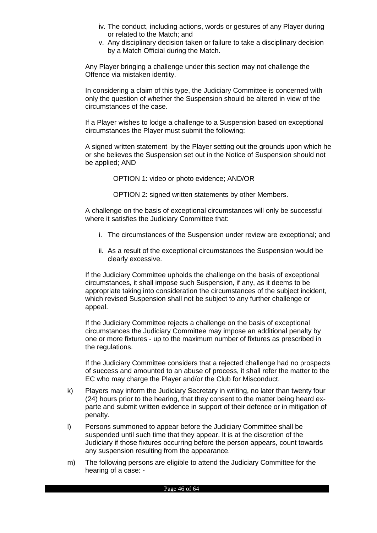- iv. The conduct, including actions, words or gestures of any Player during or related to the Match; and
- v. Any disciplinary decision taken or failure to take a disciplinary decision by a Match Official during the Match.

Any Player bringing a challenge under this section may not challenge the Offence via mistaken identity.

In considering a claim of this type, the Judiciary Committee is concerned with only the question of whether the Suspension should be altered in view of the circumstances of the case.

If a Player wishes to lodge a challenge to a Suspension based on exceptional circumstances the Player must submit the following:

A signed written statement by the Player setting out the grounds upon which he or she believes the Suspension set out in the Notice of Suspension should not be applied; AND

OPTION 1: video or photo evidence; AND/OR

OPTION 2: signed written statements by other Members.

A challenge on the basis of exceptional circumstances will only be successful where it satisfies the Judiciary Committee that:

- i. The circumstances of the Suspension under review are exceptional; and
- ii. As a result of the exceptional circumstances the Suspension would be clearly excessive.

If the Judiciary Committee upholds the challenge on the basis of exceptional circumstances, it shall impose such Suspension, if any, as it deems to be appropriate taking into consideration the circumstances of the subject incident, which revised Suspension shall not be subject to any further challenge or appeal.

If the Judiciary Committee rejects a challenge on the basis of exceptional circumstances the Judiciary Committee may impose an additional penalty by one or more fixtures - up to the maximum number of fixtures as prescribed in the regulations.

If the Judiciary Committee considers that a rejected challenge had no prospects of success and amounted to an abuse of process, it shall refer the matter to the EC who may charge the Player and/or the Club for Misconduct.

- k) Players may inform the Judiciary Secretary in writing, no later than twenty four (24) hours prior to the hearing, that they consent to the matter being heard exparte and submit written evidence in support of their defence or in mitigation of penalty.
- l) Persons summoned to appear before the Judiciary Committee shall be suspended until such time that they appear. It is at the discretion of the Judiciary if those fixtures occurring before the person appears, count towards any suspension resulting from the appearance.
- m) The following persons are eligible to attend the Judiciary Committee for the hearing of a case: -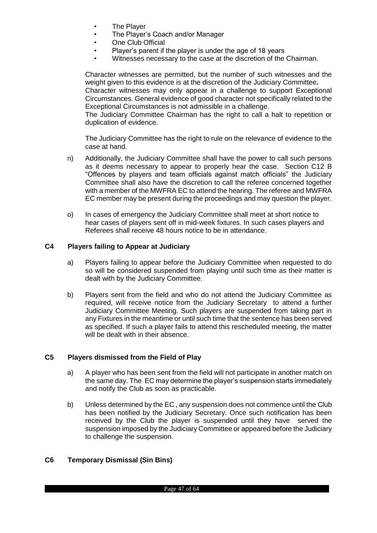- **The Player**
- The Player's Coach and/or Manager
- One Club Official
- Player's parent if the player is under the age of 18 years
- Witnesses necessary to the case at the discretion of the Chairman.

Character witnesses are permitted, but the number of such witnesses and the weight given to this evidence is at the discretion of the Judiciary Committee**.** Character witnesses may only appear in a challenge to support Exceptional

Circumstances. General evidence of good character not specifically related to the Exceptional Circumstances is not admissible in a challenge.

The Judiciary Committee Chairman has the right to call a halt to repetition or duplication of evidence.

The Judiciary Committee has the right to rule on the relevance of evidence to the case at hand.

- n) Additionally, the Judiciary Committee shall have the power to call such persons as it deems necessary to appear to properly hear the case. Section C12 B "Offences by players and team officials against match officials" the Judiciary Committee shall also have the discretion to call the referee concerned together with a member of the MWFRA EC to attend the hearing. The referee and MWFRA EC member may be present during the proceedings and may question the player.
- o) In cases of emergency the Judiciary Committee shall meet at short notice to hear cases of players sent off in mid-week fixtures. In such cases players and Referees shall receive 48 hours notice to be in attendance.

#### <span id="page-46-0"></span>**C4 Players failing to Appear at Judiciary**

- a) Players failing to appear before the Judiciary Committee when requested to do so will be considered suspended from playing until such time as their matter is dealt with by the Judiciary Committee.
- b) Players sent from the field and who do not attend the Judiciary Committee as required, will receive notice from the Judiciary Secretary to attend a further Judiciary Committee Meeting. Such players are suspended from taking part in any Fixtures in the meantime or until such time that the sentence has been served as specified. If such a player fails to attend this rescheduled meeting, the matter will be dealt with in their absence.

#### <span id="page-46-1"></span>**C5 Players dismissed from the Field of Play**

- a) A player who has been sent from the field will not participate in another match on the same day. The EC may determine the player's suspension starts immediately and notify the Club as soon as practicable.
- b) Unless determined by the EC , any suspension does not commence until the Club has been notified by the Judiciary Secretary. Once such notification has been received by the Club the player is suspended until they have served the suspension imposed by the Judiciary Committee or appeared before the Judiciary to challenge the suspension.

#### <span id="page-46-2"></span>**C6 Temporary Dismissal (Sin Bins)**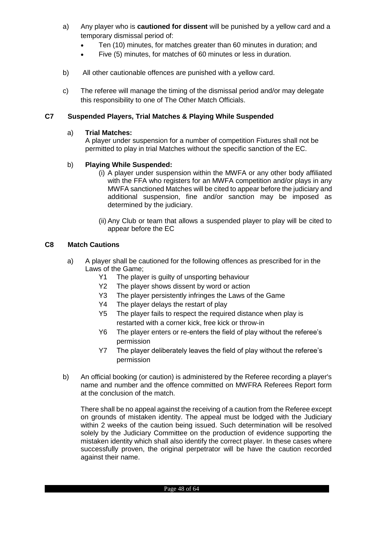- a) Any player who is **cautioned for dissent** will be punished by a yellow card and a temporary dismissal period of:
	- Ten (10) minutes, for matches greater than 60 minutes in duration; and
	- Five (5) minutes, for matches of 60 minutes or less in duration.
- b) All other cautionable offences are punished with a yellow card.
- c) The referee will manage the timing of the dismissal period and/or may delegate this responsibility to one of The Other Match Officials.

## <span id="page-47-0"></span>**C7 Suspended Players, Trial Matches & Playing While Suspended**

#### a) **Trial Matches:**

A player under suspension for a number of competition Fixtures shall not be permitted to play in trial Matches without the specific sanction of the EC.

## b) **Playing While Suspended:**

- (i) A player under suspension within the MWFA or any other body affiliated with the FFA who registers for an MWFA competition and/or plays in any MWFA sanctioned Matches will be cited to appear before the judiciary and additional suspension, fine and/or sanction may be imposed as determined by the judiciary.
- (ii) Any Club or team that allows a suspended player to play will be cited to appear before the EC

## <span id="page-47-1"></span>**C8 Match Cautions**

- a) A player shall be cautioned for the following offences as prescribed for in the Laws of the Game;
	- Y1 The player is guilty of unsporting behaviour
	- Y2 The player shows dissent by word or action
	- Y3 The player persistently infringes the Laws of the Game
	- Y4 The player delays the restart of play
	- Y5 The player fails to respect the required distance when play is restarted with a corner kick, free kick or throw-in
	- Y6 The player enters or re-enters the field of play without the referee's permission
	- Y7 The player deliberately leaves the field of play without the referee's permission
- b) An official booking (or caution) is administered by the Referee recording a player's name and number and the offence committed on MWFRA Referees Report form at the conclusion of the match.

There shall be no appeal against the receiving of a caution from the Referee except on grounds of mistaken identity. The appeal must be lodged with the Judiciary within 2 weeks of the caution being issued. Such determination will be resolved solely by the Judiciary Committee on the production of evidence supporting the mistaken identity which shall also identify the correct player. In these cases where successfully proven, the original perpetrator will be have the caution recorded against their name.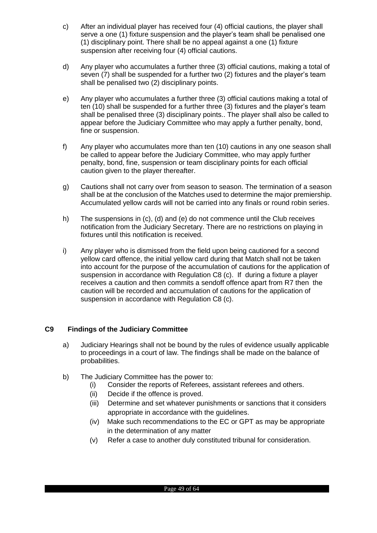- c) After an individual player has received four (4) official cautions, the player shall serve a one (1) fixture suspension and the player's team shall be penalised one (1) disciplinary point. There shall be no appeal against a one (1) fixture suspension after receiving four (4) official cautions.
- d) Any player who accumulates a further three (3) official cautions, making a total of seven (7) shall be suspended for a further two (2) fixtures and the player's team shall be penalised two (2) disciplinary points.
- e) Any player who accumulates a further three (3) official cautions making a total of ten (10) shall be suspended for a further three (3) fixtures and the player's team shall be penalised three (3) disciplinary points.. The player shall also be called to appear before the Judiciary Committee who may apply a further penalty, bond, fine or suspension.
- f) Any player who accumulates more than ten (10) cautions in any one season shall be called to appear before the Judiciary Committee, who may apply further penalty, bond, fine, suspension or team disciplinary points for each official caution given to the player thereafter.
- g) Cautions shall not carry over from season to season. The termination of a season shall be at the conclusion of the Matches used to determine the major premiership. Accumulated yellow cards will not be carried into any finals or round robin series.
- h) The suspensions in (c), (d) and (e) do not commence until the Club receives notification from the Judiciary Secretary. There are no restrictions on playing in fixtures until this notification is received.
- i) Any player who is dismissed from the field upon being cautioned for a second yellow card offence, the initial yellow card during that Match shall not be taken into account for the purpose of the accumulation of cautions for the application of suspension in accordance with Regulation C8 (c). If during a fixture a player receives a caution and then commits a sendoff offence apart from R7 then the caution will be recorded and accumulation of cautions for the application of suspension in accordance with Regulation C8 (c).

## <span id="page-48-0"></span>**C9 Findings of the Judiciary Committee**

- a) Judiciary Hearings shall not be bound by the rules of evidence usually applicable to proceedings in a court of law. The findings shall be made on the balance of probabilities.
- b) The Judiciary Committee has the power to:
	- (i) Consider the reports of Referees, assistant referees and others.
	- (ii) Decide if the offence is proved.
	- (iii) Determine and set whatever punishments or sanctions that it considers appropriate in accordance with the guidelines.
	- (iv) Make such recommendations to the EC or GPT as may be appropriate in the determination of any matter
	- (v) Refer a case to another duly constituted tribunal for consideration.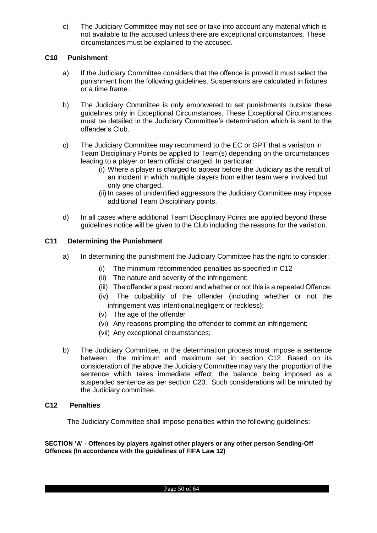c) The Judiciary Committee may not see or take into account any material which is not available to the accused unless there are exceptional circumstances. These circumstances must be explained to the accused.

## <span id="page-49-0"></span>**C10 Punishment**

- a) If the Judiciary Committee considers that the offence is proved it must select the punishment from the following guidelines. Suspensions are calculated in fixtures or a time frame.
- b) The Judiciary Committee is only empowered to set punishments outside these guidelines only in Exceptional Circumstances. These Exceptional Circumstances must be detailed in the Judiciary Committee's determination which is sent to the offender's Club.
- c) The Judiciary Committee may recommend to the EC or GPT that a variation in Team Disciplinary Points be applied to Team(s) depending on the circumstances leading to a player or team official charged. In particular:
	- (i) Where a player is charged to appear before the Judiciary as the result of an incident in which multiple players from either team were involved but only one charged.
	- (ii) In cases of unidentified aggressors the Judiciary Committee may impose additional Team Disciplinary points.
- d) In all cases where additional Team Disciplinary Points are applied beyond these guidelines notice will be given to the Club including the reasons for the variation.

## <span id="page-49-1"></span>**C11 Determining the Punishment**

- a) In determining the punishment the Judiciary Committee has the right to consider:
	- (i) The minimum recommended penalties as specified in C12
	- (ii) The nature and severity of the infringement;
	- (iii) The offender's past record and whether or not this is a repeated Offence;
	- (iv) The culpability of the offender (including whether or not the infringement was intentional, negligent or reckless);
	- (v) The age of the offender
	- (vi) Any reasons prompting the offender to commit an infringement;
	- (vii) Any exceptional circumstances;
- b) The Judiciary Committee, in the determination process must impose a sentence between the minimum and maximum set in section C12. Based on its consideration of the above the Judiciary Committee may vary the proportion of the sentence which takes immediate effect, the balance being imposed as a suspended sentence as per section C23. Such considerations will be minuted by the Judiciary committee.

#### <span id="page-49-2"></span>**C12 Penalties**

The Judiciary Committee shall impose penalties within the following guidelines:

**SECTION 'A' - Offences by players against other players or any other person Sending-Off Offences (In accordance with the guidelines of FIFA Law 12)**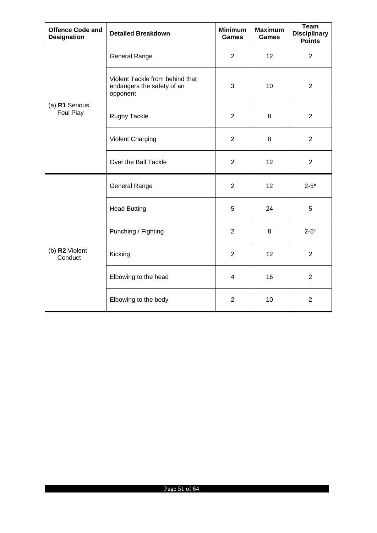| <b>Offence Code and</b><br><b>Designation</b> | <b>Detailed Breakdown</b>                                                 | <b>Minimum</b><br><b>Games</b> | <b>Maximum</b><br><b>Games</b> | <b>Team</b><br><b>Disciplinary</b><br><b>Points</b> |
|-----------------------------------------------|---------------------------------------------------------------------------|--------------------------------|--------------------------------|-----------------------------------------------------|
|                                               | <b>General Range</b>                                                      | $\overline{2}$                 | 12                             | $\overline{2}$                                      |
|                                               | Violent Tackle from behind that<br>endangers the safety of an<br>opponent | 3                              | 10                             | $\overline{2}$                                      |
| (a) R1 Serious<br>Foul Play                   | Rugby Tackle                                                              | $\overline{2}$                 | 8                              | $\overline{2}$                                      |
|                                               | <b>Violent Charging</b>                                                   | $\overline{2}$                 | 8                              | $\overline{2}$                                      |
|                                               | Over the Ball Tackle                                                      | $\overline{2}$                 | 12                             | $\overline{2}$                                      |
|                                               | General Range                                                             | $\overline{2}$                 | 12                             | $2 - 5^*$                                           |
|                                               | <b>Head Butting</b>                                                       | 5                              | 24                             | 5                                                   |
|                                               | Punching / Fighting                                                       | $\overline{2}$                 | 8                              | $2 - 5^*$                                           |
| (b) R2 Violent<br>Conduct                     | Kicking                                                                   | $\overline{2}$                 | 12                             | $\overline{2}$                                      |
|                                               | Elbowing to the head                                                      | 4                              | 16                             | $\overline{2}$                                      |
|                                               | Elbowing to the body                                                      | $\overline{2}$                 | 10                             | $\overline{2}$                                      |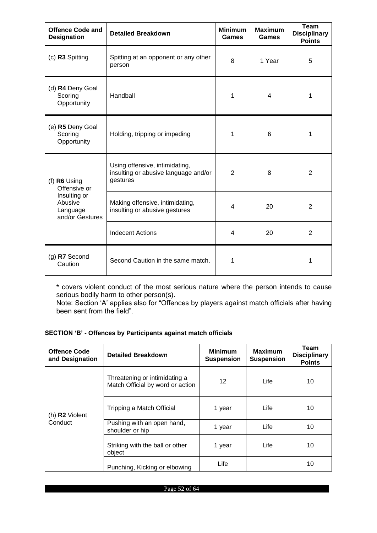| <b>Offence Code and</b><br><b>Designation</b>          | <b>Detailed Breakdown</b>                                                          | <b>Minimum</b><br>Games | <b>Maximum</b><br>Games | <b>Team</b><br><b>Disciplinary</b><br><b>Points</b> |
|--------------------------------------------------------|------------------------------------------------------------------------------------|-------------------------|-------------------------|-----------------------------------------------------|
| (c) R3 Spitting                                        | Spitting at an opponent or any other<br>person                                     | 8                       | 1 Year                  | 5                                                   |
| (d) R4 Deny Goal<br>Scoring<br>Opportunity             | Handball                                                                           | 1                       | $\overline{4}$          | 1                                                   |
| (e) R5 Deny Goal<br>Scoring<br>Opportunity             | Holding, tripping or impeding                                                      | 1                       | 6                       | 1                                                   |
| (f) $R6$ Using<br>Offensive or                         | Using offensive, intimidating,<br>insulting or abusive language and/or<br>gestures | $\overline{2}$          | 8                       | $\overline{2}$                                      |
| Insulting or<br>Abusive<br>Language<br>and/or Gestures | Making offensive, intimidating,<br>insulting or abusive gestures                   | $\overline{\mathbf{4}}$ | 20                      | $\overline{2}$                                      |
|                                                        | <b>Indecent Actions</b>                                                            | 4                       | 20                      | $\overline{2}$                                      |
| (g) R7 Second<br>Caution                               | Second Caution in the same match.                                                  | 1                       |                         | 1                                                   |

\* covers violent conduct of the most serious nature where the person intends to cause serious bodily harm to other person(s).

Note: Section 'A' applies also for "Offences by players against match officials after having been sent from the field".

#### **SECTION 'B' - Offences by Participants against match officials**

| <b>Offence Code</b><br>and Designation | <b>Detailed Breakdown</b>                                         | <b>Minimum</b><br><b>Suspension</b> | <b>Maximum</b><br><b>Suspension</b> | Team<br><b>Disciplinary</b><br><b>Points</b> |
|----------------------------------------|-------------------------------------------------------------------|-------------------------------------|-------------------------------------|----------------------------------------------|
| (h) R2 Violent<br>Conduct              | Threatening or intimidating a<br>Match Official by word or action |                                     | Life                                | 10                                           |
|                                        | Tripping a Match Official                                         | 1 year                              | Life                                | 10                                           |
|                                        | Pushing with an open hand,<br>shoulder or hip                     | 1 year                              | Life                                | 10                                           |
|                                        | Striking with the ball or other<br>object                         | 1 year                              | Life                                | 10                                           |
|                                        | Punching, Kicking or elbowing                                     | Life                                |                                     | 10                                           |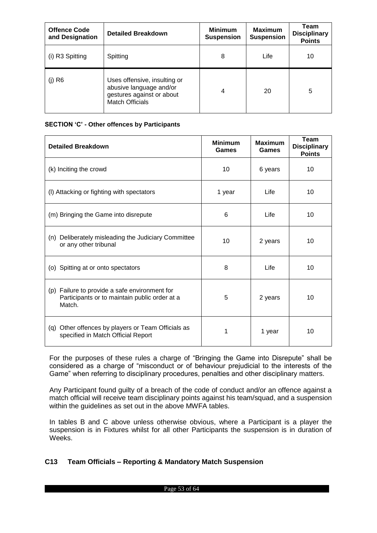| <b>Offence Code</b><br>and Designation | <b>Detailed Breakdown</b>                                                                                      | <b>Minimum</b><br><b>Suspension</b> | <b>Maximum</b><br><b>Suspension</b> | Team<br><b>Disciplinary</b><br><b>Points</b> |
|----------------------------------------|----------------------------------------------------------------------------------------------------------------|-------------------------------------|-------------------------------------|----------------------------------------------|
| (i) R3 Spitting                        | Spitting                                                                                                       | 8                                   | Life                                | 10                                           |
| $(j)$ R <sub>6</sub>                   | Uses offensive, insulting or<br>abusive language and/or<br>gestures against or about<br><b>Match Officials</b> | 4                                   | 20                                  | 5                                            |

#### **SECTION 'C' - Other offences by Participants**

| <b>Detailed Breakdown</b>                                                                                | <b>Minimum</b><br>Games | <b>Maximum</b><br>Games | Team<br><b>Disciplinary</b><br><b>Points</b> |
|----------------------------------------------------------------------------------------------------------|-------------------------|-------------------------|----------------------------------------------|
| (k) Inciting the crowd                                                                                   | 10                      | 6 years                 | 10                                           |
| (I) Attacking or fighting with spectators                                                                | 1 year                  | Life                    | 10                                           |
| (m) Bringing the Game into disrepute                                                                     | 6                       | Life                    | 10                                           |
| Deliberately misleading the Judiciary Committee<br>(n)<br>or any other tribunal                          | 10                      | 2 years                 | 10                                           |
| (o) Spitting at or onto spectators                                                                       | 8                       | Life                    | 10                                           |
| (p) Failure to provide a safe environment for<br>Participants or to maintain public order at a<br>Match. | 5                       | 2 years                 | 10                                           |
| Other offences by players or Team Officials as<br>(q)<br>specified in Match Official Report              |                         | 1 year                  | 10                                           |

For the purposes of these rules a charge of "Bringing the Game into Disrepute" shall be considered as a charge of "misconduct or of behaviour prejudicial to the interests of the Game" when referring to disciplinary procedures, penalties and other disciplinary matters.

Any Participant found guilty of a breach of the code of conduct and/or an offence against a match official will receive team disciplinary points against his team/squad, and a suspension within the guidelines as set out in the above MWFA tables.

In tables B and C above unless otherwise obvious, where a Participant is a player the suspension is in Fixtures whilst for all other Participants the suspension is in duration of Weeks.

#### <span id="page-52-0"></span>**C13 Team Officials – Reporting & Mandatory Match Suspension**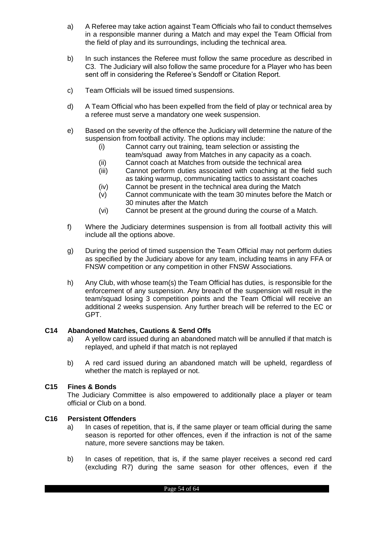- a) A Referee may take action against Team Officials who fail to conduct themselves in a responsible manner during a Match and may expel the Team Official from the field of play and its surroundings, including the technical area.
- b) In such instances the Referee must follow the same procedure as described in C3. The Judiciary will also follow the same procedure for a Player who has been sent off in considering the Referee's Sendoff or Citation Report.
- c) Team Officials will be issued timed suspensions.
- d) A Team Official who has been expelled from the field of play or technical area by a referee must serve a mandatory one week suspension.
- e) Based on the severity of the offence the Judiciary will determine the nature of the suspension from football activity. The options may include:
	- (i) Cannot carry out training, team selection or assisting the
	- team/squad away from Matches in any capacity as a coach. (ii) Cannot coach at Matches from outside the technical area
		-
	- (iii) Cannot perform duties associated with coaching at the field such as taking warmup, communicating tactics to assistant coaches
	- (iv) Cannot be present in the technical area during the Match
	- (v) Cannot communicate with the team 30 minutes before the Match or 30 minutes after the Match
	- (vi) Cannot be present at the ground during the course of a Match.
- f) Where the Judiciary determines suspension is from all football activity this will include all the options above.
- g) During the period of timed suspension the Team Official may not perform duties as specified by the Judiciary above for any team, including teams in any FFA or FNSW competition or any competition in other FNSW Associations.
- h) Any Club, with whose team(s) the Team Official has duties, is responsible for the enforcement of any suspension. Any breach of the suspension will result in the team/squad losing 3 competition points and the Team Official will receive an additional 2 weeks suspension. Any further breach will be referred to the EC or GPT.

#### <span id="page-53-0"></span>**C14 Abandoned Matches, Cautions & Send Offs**

- a) A yellow card issued during an abandoned match will be annulled if that match is replayed, and upheld if that match is not replayed
- b) A red card issued during an abandoned match will be upheld, regardless of whether the match is replayed or not.

#### <span id="page-53-1"></span>**C15 Fines & Bonds**

The Judiciary Committee is also empowered to additionally place a player or team official or Club on a bond.

## <span id="page-53-2"></span>**C16 Persistent Offenders**

- a) In cases of repetition, that is, if the same player or team official during the same season is reported for other offences, even if the infraction is not of the same nature, more severe sanctions may be taken.
- b) In cases of repetition, that is, if the same player receives a second red card (excluding R7) during the same season for other offences, even if the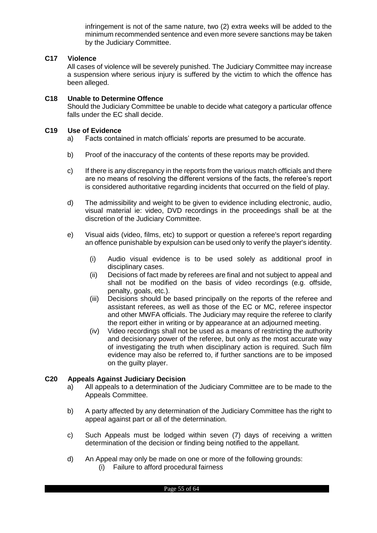infringement is not of the same nature, two (2) extra weeks will be added to the minimum recommended sentence and even more severe sanctions may be taken by the Judiciary Committee.

## <span id="page-54-0"></span>**C17 Violence**

All cases of violence will be severely punished. The Judiciary Committee may increase a suspension where serious injury is suffered by the victim to which the offence has been alleged.

# <span id="page-54-1"></span>**C18 Unable to Determine Offence**

Should the Judiciary Committee be unable to decide what category a particular offence falls under the EC shall decide.

## <span id="page-54-2"></span>**C19 Use of Evidence**

- a) Facts contained in match officials' reports are presumed to be accurate.
- b) Proof of the inaccuracy of the contents of these reports may be provided.
- c) If there is any discrepancy in the reports from the various match officials and there are no means of resolving the different versions of the facts, the referee's report is considered authoritative regarding incidents that occurred on the field of play.
- d) The admissibility and weight to be given to evidence including electronic, audio, visual material ie: video, DVD recordings in the proceedings shall be at the discretion of the Judiciary Committee.
- e) Visual aids (video, films, etc) to support or question a referee's report regarding an offence punishable by expulsion can be used only to verify the player's identity.
	- (i) Audio visual evidence is to be used solely as additional proof in disciplinary cases.
	- (ii) Decisions of fact made by referees are final and not subject to appeal and shall not be modified on the basis of video recordings (e.g. offside, penalty, goals, etc.).
	- (iii) Decisions should be based principally on the reports of the referee and assistant referees, as well as those of the EC or MC, referee inspector and other MWFA officials. The Judiciary may require the referee to clarify the report either in writing or by appearance at an adjourned meeting.
	- (iv) Video recordings shall not be used as a means of restricting the authority and decisionary power of the referee, but only as the most accurate way of investigating the truth when disciplinary action is required. Such film evidence may also be referred to, if further sanctions are to be imposed on the guilty player.

#### <span id="page-54-3"></span>**C20 Appeals Against Judiciary Decision**

- a) All appeals to a determination of the Judiciary Committee are to be made to the Appeals Committee.
- b) A party affected by any determination of the Judiciary Committee has the right to appeal against part or all of the determination.
- c) Such Appeals must be lodged within seven (7) days of receiving a written determination of the decision or finding being notified to the appellant.
- d) An Appeal may only be made on one or more of the following grounds:
	- (i) Failure to afford procedural fairness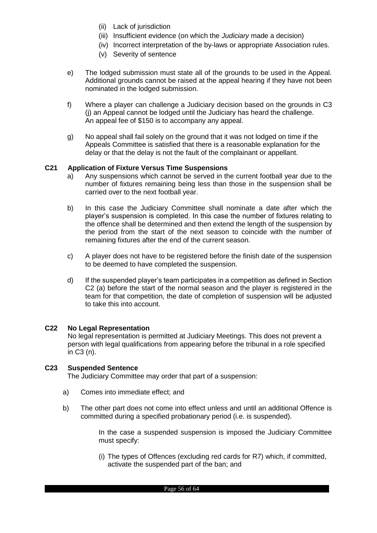- (ii) Lack of jurisdiction
- (iii) Insufficient evidence (on which the *Judiciary* made a decision)
- (iv) Incorrect interpretation of the by-laws or appropriate Association rules.
- (v) Severity of sentence
- e) The lodged submission must state all of the grounds to be used in the Appeal. Additional grounds cannot be raised at the appeal hearing if they have not been nominated in the lodged submission.
- f) Where a player can challenge a Judiciary decision based on the grounds in C3 (j) an Appeal cannot be lodged until the Judiciary has heard the challenge. An appeal fee of \$150 is to accompany any appeal.
- g) No appeal shall fail solely on the ground that it was not lodged on time if the Appeals Committee is satisfied that there is a reasonable explanation for the delay or that the delay is not the fault of the complainant or appellant.

#### <span id="page-55-0"></span>**C21 Application of Fixture Versus Time Suspensions**

- a) Any suspensions which cannot be served in the current football year due to the number of fixtures remaining being less than those in the suspension shall be carried over to the next football year.
- b) In this case the Judiciary Committee shall nominate a date after which the player's suspension is completed. In this case the number of fixtures relating to the offence shall be determined and then extend the length of the suspension by the period from the start of the next season to coincide with the number of remaining fixtures after the end of the current season.
- c) A player does not have to be registered before the finish date of the suspension to be deemed to have completed the suspension.
- d) If the suspended player's team participates in a competition as defined in Section C2 (a) before the start of the normal season and the player is registered in the team for that competition, the date of completion of suspension will be adjusted to take this into account.

#### <span id="page-55-1"></span>**C22 No Legal Representation**

No legal representation is permitted at Judiciary Meetings. This does not prevent a person with legal qualifications from appearing before the tribunal in a role specified in C3 (n).

#### <span id="page-55-2"></span>**C23 Suspended Sentence**

The Judiciary Committee may order that part of a suspension:

- a) Comes into immediate effect; and
- b) The other part does not come into effect unless and until an additional Offence is committed during a specified probationary period (i.e. is suspended).

In the case a suspended suspension is imposed the Judiciary Committee must specify:

(i) The types of Offences (excluding red cards for R7) which, if committed, activate the suspended part of the ban; and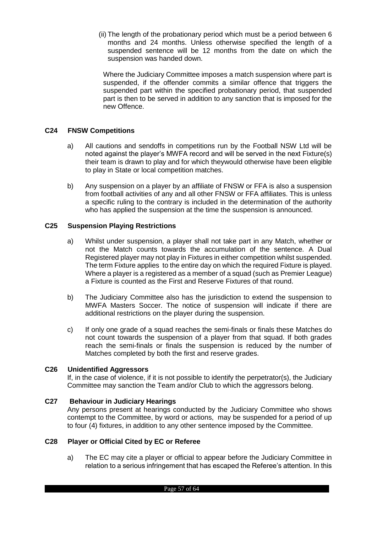(ii) The length of the probationary period which must be a period between 6 months and 24 months. Unless otherwise specified the length of a suspended sentence will be 12 months from the date on which the suspension was handed down.

Where the Judiciary Committee imposes a match suspension where part is suspended, if the offender commits a similar offence that triggers the suspended part within the specified probationary period, that suspended part is then to be served in addition to any sanction that is imposed for the new Offence.

## <span id="page-56-0"></span>**C24 FNSW Competitions**

- a) All cautions and sendoffs in competitions run by the Football NSW Ltd will be noted against the player's MWFA record and will be served in the next Fixture(s) their team is drawn to play and for which theywould otherwise have been eligible to play in State or local competition matches.
- b) Any suspension on a player by an affiliate of FNSW or FFA is also a suspension from football activities of any and all other FNSW or FFA affiliates. This is unless a specific ruling to the contrary is included in the determination of the authority who has applied the suspension at the time the suspension is announced.

## <span id="page-56-1"></span>**C25 Suspension Playing Restrictions**

- a) Whilst under suspension, a player shall not take part in any Match, whether or not the Match counts towards the accumulation of the sentence. A Dual Registered player may not play in Fixtures in either competition whilst suspended. The term Fixture applies to the entire day on which the required Fixture is played. Where a player is a registered as a member of a squad (such as Premier League) a Fixture is counted as the First and Reserve Fixtures of that round.
- b) The Judiciary Committee also has the jurisdiction to extend the suspension to MWFA Masters Soccer. The notice of suspension will indicate if there are additional restrictions on the player during the suspension.
- c) If only one grade of a squad reaches the semi-finals or finals these Matches do not count towards the suspension of a player from that squad. If both grades reach the semi-finals or finals the suspension is reduced by the number of Matches completed by both the first and reserve grades.

#### <span id="page-56-2"></span>**C26 Unidentified Aggressors**

If, in the case of violence, if it is not possible to identify the perpetrator(s), the Judiciary Committee may sanction the Team and/or Club to which the aggressors belong.

#### <span id="page-56-3"></span>**C27 Behaviour in Judiciary Hearings**

Any persons present at hearings conducted by the Judiciary Committee who shows contempt to the Committee, by word or actions, may be suspended for a period of up to four (4) fixtures, in addition to any other sentence imposed by the Committee.

## <span id="page-56-4"></span>**C28 Player or Official Cited by EC or Referee**

a) The EC may cite a player or official to appear before the Judiciary Committee in relation to a serious infringement that has escaped the Referee's attention. In this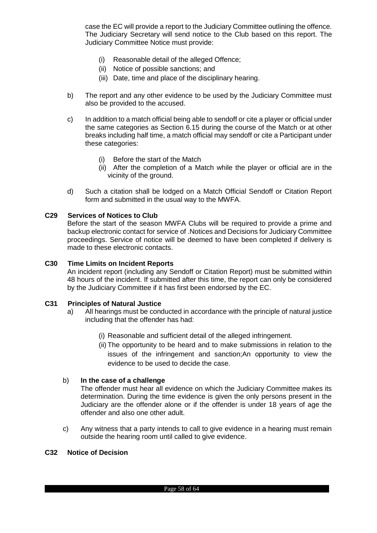case the EC will provide a report to the Judiciary Committee outlining the offence. The Judiciary Secretary will send notice to the Club based on this report. The Judiciary Committee Notice must provide:

- (i) Reasonable detail of the alleged Offence;
- (ii) Notice of possible sanctions; and
- (iii) Date, time and place of the disciplinary hearing.
- b) The report and any other evidence to be used by the Judiciary Committee must also be provided to the accused.
- c) In addition to a match official being able to sendoff or cite a player or official under the same categories as Section 6.15 during the course of the Match or at other breaks including half time, a match official may sendoff or cite a Participant under these categories:
	- (i) Before the start of the Match
	- (ii) After the completion of a Match while the player or official are in the vicinity of the ground.
- d) Such a citation shall be lodged on a Match Official Sendoff or Citation Report form and submitted in the usual way to the MWFA.

#### <span id="page-57-0"></span>**C29 Services of Notices to Club**

Before the start of the season MWFA Clubs will be required to provide a prime and backup electronic contact for service of .Notices and Decisions for Judiciary Committee proceedings. Service of notice will be deemed to have been completed if delivery is made to these electronic contacts.

#### <span id="page-57-1"></span>**C30 Time Limits on Incident Reports**

An incident report (including any Sendoff or Citation Report) must be submitted within 48 hours of the incident. If submitted after this time, the report can only be considered by the Judiciary Committee if it has first been endorsed by the EC.

#### <span id="page-57-2"></span>**C31 Principles of Natural Justice**

- a) All hearings must be conducted in accordance with the principle of natural justice including that the offender has had:
	- (i) Reasonable and sufficient detail of the alleged infringement.
	- (ii) The opportunity to be heard and to make submissions in relation to the issues of the infringement and sanction;An opportunity to view the evidence to be used to decide the case.

#### b) **In the case of a challenge**

The offender must hear all evidence on which the Judiciary Committee makes its determination. During the time evidence is given the only persons present in the Judiciary are the offender alone or if the offender is under 18 years of age the offender and also one other adult.

c) Any witness that a party intends to call to give evidence in a hearing must remain outside the hearing room until called to give evidence.

#### **C32 Notice of Decision**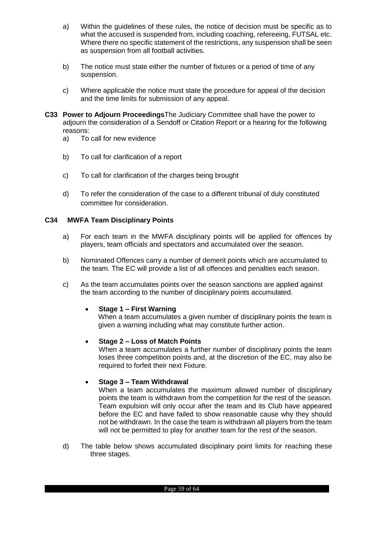- a) Within the guidelines of these rules, the notice of decision must be specific as to what the accused is suspended from, including coaching, refereeing, FUTSAL etc. Where there no specific statement of the restrictions, any suspension shall be seen as suspension from all football activities.
- b) The notice must state either the number of fixtures or a period of time of any suspension.
- c) Where applicable the notice must state the procedure for appeal of the decision and the time limits for submission of any appeal.
- **C33 Power to Adjourn Proceedings**The Judiciary Committee shall have the power to adjourn the consideration of a Sendoff or Citation Report or a hearing for the following reasons:
	- a) To call for new evidence
	- b) To call for clarification of a report
	- c) To call for clarification of the charges being brought
	- d) To refer the consideration of the case to a different tribunal of duly constituted committee for consideration.

#### **C34 MWFA Team Disciplinary Points**

- a) For each team in the MWFA disciplinary points will be applied for offences by players, team officials and spectators and accumulated over the season.
- b) Nominated Offences carry a number of demerit points which are accumulated to the team. The EC will provide a list of all offences and penalties each season.
- c) As the team accumulates points over the season sanctions are applied against the team according to the number of disciplinary points accumulated.

#### **Stage 1 – First Warning**

When a team accumulates a given number of disciplinary points the team is given a warning including what may constitute further action.

#### **Stage 2 – Loss of Match Points**

When a team accumulates a further number of disciplinary points the team loses three competition points and, at the discretion of the EC, may also be required to forfeit their next Fixture.

#### **Stage 3 – Team Withdrawal**

When a team accumulates the maximum allowed number of disciplinary points the team is withdrawn from the competition for the rest of the season. Team expulsion will only occur after the team and its Club have appeared before the EC and have failed to show reasonable cause why they should not be withdrawn. In the case the team is withdrawn all players from the team will not be permitted to play for another team for the rest of the season.

d) The table below shows accumulated disciplinary point limits for reaching these three stages.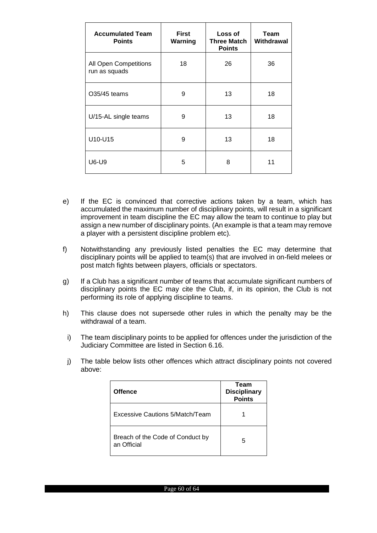| <b>Accumulated Team</b><br><b>Points</b> | <b>First</b><br>Warning | Loss of<br>Three Match<br><b>Points</b> | Team<br>Withdrawal |
|------------------------------------------|-------------------------|-----------------------------------------|--------------------|
| All Open Competitions<br>run as squads   | 18                      | 26                                      | 36                 |
| O35/45 teams                             | 9                       | 13                                      | 18                 |
| U/15-AL single teams                     | 9                       | 13                                      | 18                 |
| U10-U15                                  | 9                       | 13                                      | 18                 |
| U6-U9                                    | 5                       | 8                                       | 11                 |

- e) If the EC is convinced that corrective actions taken by a team, which has accumulated the maximum number of disciplinary points, will result in a significant improvement in team discipline the EC may allow the team to continue to play but assign a new number of disciplinary points. (An example is that a team may remove a player with a persistent discipline problem etc).
- f) Notwithstanding any previously listed penalties the EC may determine that disciplinary points will be applied to team(s) that are involved in on-field melees or post match fights between players, officials or spectators.
- g) If a Club has a significant number of teams that accumulate significant numbers of disciplinary points the EC may cite the Club, if, in its opinion, the Club is not performing its role of applying discipline to teams.
- h) This clause does not supersede other rules in which the penalty may be the withdrawal of a team.
- i) The team disciplinary points to be applied for offences under the jurisdiction of the Judiciary Committee are listed in Section 6.16.
- j) The table below lists other offences which attract disciplinary points not covered above:

| <b>Offence</b>                                  | Team<br><b>Disciplinary</b><br><b>Points</b> |
|-------------------------------------------------|----------------------------------------------|
| Excessive Cautions 5/Match/Team                 |                                              |
| Breach of the Code of Conduct by<br>an Official | 5                                            |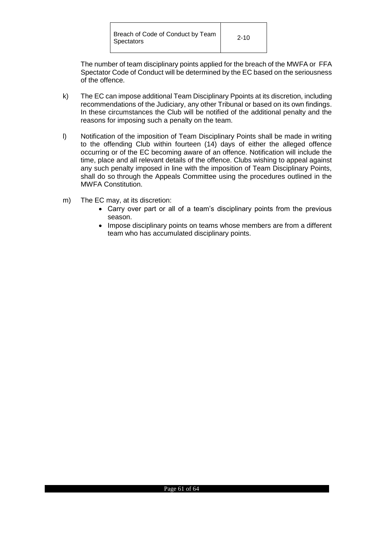The number of team disciplinary points applied for the breach of the MWFA or FFA Spectator Code of Conduct will be determined by the EC based on the seriousness of the offence.

- k) The EC can impose additional Team Disciplinary Ppoints at its discretion, including recommendations of the Judiciary, any other Tribunal or based on its own findings. In these circumstances the Club will be notified of the additional penalty and the reasons for imposing such a penalty on the team.
- l) Notification of the imposition of Team Disciplinary Points shall be made in writing to the offending Club within fourteen (14) days of either the alleged offence occurring or of the EC becoming aware of an offence. Notification will include the time, place and all relevant details of the offence. Clubs wishing to appeal against any such penalty imposed in line with the imposition of Team Disciplinary Points, shall do so through the Appeals Committee using the procedures outlined in the MWFA Constitution.
- m) The EC may, at its discretion:
	- Carry over part or all of a team's disciplinary points from the previous season.
	- Impose disciplinary points on teams whose members are from a different team who has accumulated disciplinary points.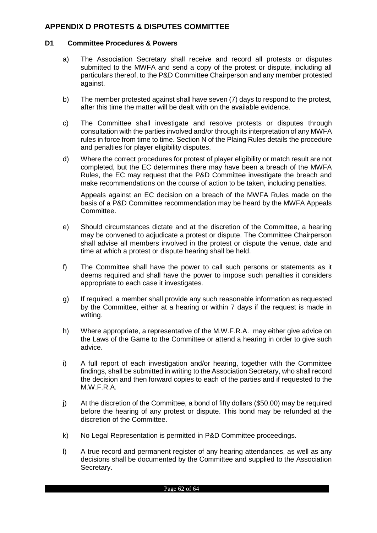## <span id="page-61-0"></span>**APPENDIX D PROTESTS & DISPUTES COMMITTEE**

#### <span id="page-61-1"></span>**D1 Committee Procedures & Powers**

- a) The Association Secretary shall receive and record all protests or disputes submitted to the MWFA and send a copy of the protest or dispute, including all particulars thereof, to the P&D Committee Chairperson and any member protested against.
- b) The member protested against shall have seven (7) days to respond to the protest, after this time the matter will be dealt with on the available evidence.
- c) The Committee shall investigate and resolve protests or disputes through consultation with the parties involved and/or through its interpretation of any MWFA rules in force from time to time. Section N of the Plaing Rules details the procedure and penalties for player eligibility disputes.
- d) Where the correct procedures for protest of player eligibility or match result are not completed, but the EC determines there may have been a breach of the MWFA Rules, the EC may request that the P&D Committee investigate the breach and make recommendations on the course of action to be taken, including penalties.

Appeals against an EC decision on a breach of the MWFA Rules made on the basis of a P&D Committee recommendation may be heard by the MWFA Appeals Committee.

- e) Should circumstances dictate and at the discretion of the Committee, a hearing may be convened to adjudicate a protest or dispute. The Committee Chairperson shall advise all members involved in the protest or dispute the venue, date and time at which a protest or dispute hearing shall be held.
- f) The Committee shall have the power to call such persons or statements as it deems required and shall have the power to impose such penalties it considers appropriate to each case it investigates.
- g) If required, a member shall provide any such reasonable information as requested by the Committee, either at a hearing or within 7 days if the request is made in writing.
- h) Where appropriate, a representative of the M.W.F.R.A. may either give advice on the Laws of the Game to the Committee or attend a hearing in order to give such advice.
- i) A full report of each investigation and/or hearing, together with the Committee findings, shall be submitted in writing to the Association Secretary, who shall record the decision and then forward copies to each of the parties and if requested to the M.W.F.R.A.
- j) At the discretion of the Committee, a bond of fifty dollars (\$50.00) may be required before the hearing of any protest or dispute. This bond may be refunded at the discretion of the Committee.
- k) No Legal Representation is permitted in P&D Committee proceedings.
- l) A true record and permanent register of any hearing attendances, as well as any decisions shall be documented by the Committee and supplied to the Association Secretary.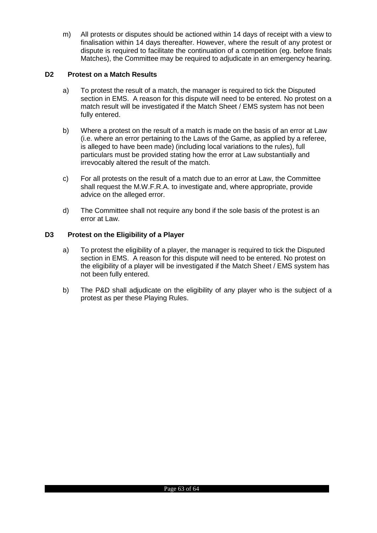m) All protests or disputes should be actioned within 14 days of receipt with a view to finalisation within 14 days thereafter. However, where the result of any protest or dispute is required to facilitate the continuation of a competition (eg. before finals Matches), the Committee may be required to adjudicate in an emergency hearing.

## <span id="page-62-0"></span>**D2 Protest on a Match Results**

- a) To protest the result of a match, the manager is required to tick the Disputed section in EMS. A reason for this dispute will need to be entered. No protest on a match result will be investigated if the Match Sheet / EMS system has not been fully entered.
- b) Where a protest on the result of a match is made on the basis of an error at Law (i.e. where an error pertaining to the Laws of the Game, as applied by a referee, is alleged to have been made) (including local variations to the rules), full particulars must be provided stating how the error at Law substantially and irrevocably altered the result of the match.
- c) For all protests on the result of a match due to an error at Law, the Committee shall request the M.W.F.R.A. to investigate and, where appropriate, provide advice on the alleged error.
- d) The Committee shall not require any bond if the sole basis of the protest is an error at Law.

## <span id="page-62-1"></span>**D3 Protest on the Eligibility of a Player**

- a) To protest the eligibility of a player, the manager is required to tick the Disputed section in EMS. A reason for this dispute will need to be entered. No protest on the eligibility of a player will be investigated if the Match Sheet / EMS system has not been fully entered.
- b) The P&D shall adjudicate on the eligibility of any player who is the subject of a protest as per these Playing Rules.